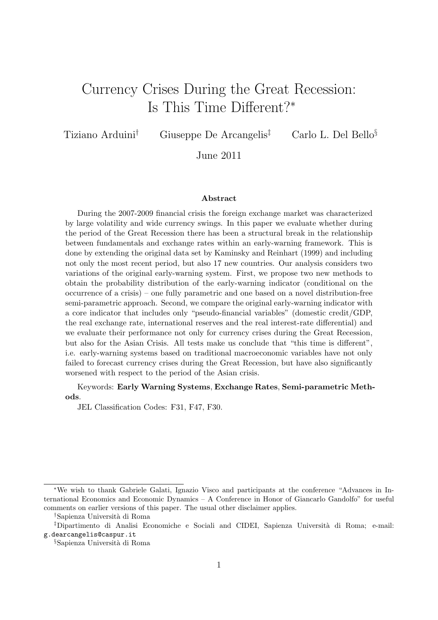# Currency Crises During the Great Recession: Is This Time Different?<sup>∗</sup>

Tiziano Arduini<sup>†</sup> Giuseppe De Arcangelis<sup>‡</sup> Carlo L. Del Bello<sup>§</sup>

June 2011

#### Abstract

During the 2007-2009 financial crisis the foreign exchange market was characterized by large volatility and wide currency swings. In this paper we evaluate whether during the period of the Great Recession there has been a structural break in the relationship between fundamentals and exchange rates within an early-warning framework. This is done by extending the original data set by Kaminsky and Reinhart (1999) and including not only the most recent period, but also 17 new countries. Our analysis considers two variations of the original early-warning system. First, we propose two new methods to obtain the probability distribution of the early-warning indicator (conditional on the occurrence of a crisis) – one fully parametric and one based on a novel distribution-free semi-parametric approach. Second, we compare the original early-warning indicator with a core indicator that includes only "pseudo-financial variables" (domestic credit/GDP, the real exchange rate, international reserves and the real interest-rate differential) and we evaluate their performance not only for currency crises during the Great Recession, but also for the Asian Crisis. All tests make us conclude that "this time is different", i.e. early-warning systems based on traditional macroeconomic variables have not only failed to forecast currency crises during the Great Recession, but have also significantly worsened with respect to the period of the Asian crisis.

#### Keywords: Early Warning Systems, Exchange Rates, Semi-parametric Methods.

JEL Classification Codes: F31, F47, F30.

<sup>∗</sup>We wish to thank Gabriele Galati, Ignazio Visco and participants at the conference "Advances in International Economics and Economic Dynamics – A Conference in Honor of Giancarlo Gandolfo" for useful comments on earlier versions of this paper. The usual other disclaimer applies.

<sup>†</sup>Sapienza Universit`a di Roma

<sup>‡</sup>Dipartimento di Analisi Economiche e Sociali and CIDEI, Sapienza Universit`a di Roma; e-mail: g.dearcangelis@caspur.it

<sup>§</sup>Sapienza Universit`a di Roma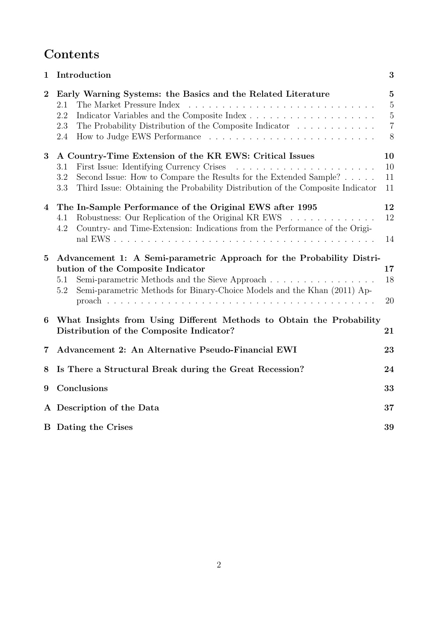## Contents

| 1              | Introduction<br>3                                                                                                                                                                                                                                                                          |                                                            |  |  |  |  |
|----------------|--------------------------------------------------------------------------------------------------------------------------------------------------------------------------------------------------------------------------------------------------------------------------------------------|------------------------------------------------------------|--|--|--|--|
| $\overline{2}$ | Early Warning Systems: the Basics and the Related Literature<br>2.1<br>2.2<br>2.3<br>The Probability Distribution of the Composite Indicator $\ldots \ldots \ldots \ldots$<br>2.4                                                                                                          | $\mathbf{5}$<br>5<br>$\overline{5}$<br>$\overline{7}$<br>8 |  |  |  |  |
| 3              | A Country-Time Extension of the KR EWS: Critical Issues<br>First Issue: Identifying Currency Crises<br>3.1<br>Second Issue: How to Compare the Results for the Extended Sample? $\ldots$ .<br>3.2<br>Third Issue: Obtaining the Probability Distribution of the Composite Indicator<br>3.3 | 10<br>10<br>11<br>11                                       |  |  |  |  |
| $\overline{4}$ | The In-Sample Performance of the Original EWS after 1995<br>Robustness: Our Replication of the Original KR EWS<br>4.1<br>Country- and Time-Extension: Indications from the Performance of the Origi-<br>4.2                                                                                | 12<br>12<br>14                                             |  |  |  |  |
| $\bf{5}$       | Advancement 1: A Semi-parametric Approach for the Probability Distri-<br>bution of the Composite Indicator<br>Semi-parametric Methods and the Sieve Approach<br>5.1<br>Semi-parametric Methods for Binary-Choice Models and the Khan (2011) Ap-<br>5.2                                     | 17<br>18<br>20                                             |  |  |  |  |
| 6              | What Insights from Using Different Methods to Obtain the Probability<br>Distribution of the Composite Indicator?                                                                                                                                                                           | 21                                                         |  |  |  |  |
| 7              | Advancement 2: An Alternative Pseudo-Financial EWI                                                                                                                                                                                                                                         | 23                                                         |  |  |  |  |
| 8              | Is There a Structural Break during the Great Recession?                                                                                                                                                                                                                                    | 24                                                         |  |  |  |  |
| 9              | Conclusions<br>33                                                                                                                                                                                                                                                                          |                                                            |  |  |  |  |
|                | A Description of the Data                                                                                                                                                                                                                                                                  | 37                                                         |  |  |  |  |
|                | <b>B</b> Dating the Crises                                                                                                                                                                                                                                                                 | 39                                                         |  |  |  |  |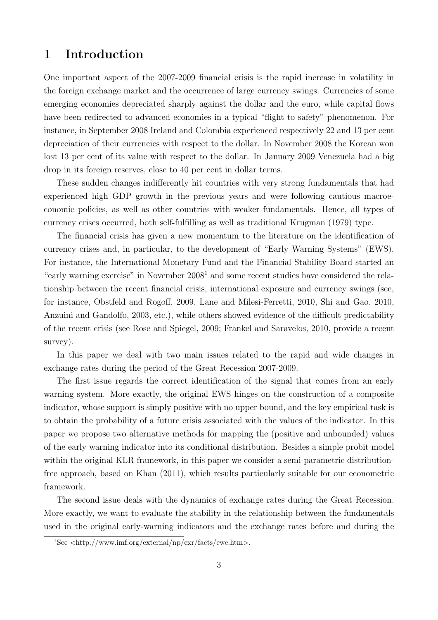## 1 Introduction

One important aspect of the 2007-2009 financial crisis is the rapid increase in volatility in the foreign exchange market and the occurrence of large currency swings. Currencies of some emerging economies depreciated sharply against the dollar and the euro, while capital flows have been redirected to advanced economies in a typical "flight to safety" phenomenon. For instance, in September 2008 Ireland and Colombia experienced respectively 22 and 13 per cent depreciation of their currencies with respect to the dollar. In November 2008 the Korean won lost 13 per cent of its value with respect to the dollar. In January 2009 Venezuela had a big drop in its foreign reserves, close to 40 per cent in dollar terms.

These sudden changes indifferently hit countries with very strong fundamentals that had experienced high GDP growth in the previous years and were following cautious macroeconomic policies, as well as other countries with weaker fundamentals. Hence, all types of currency crises occurred, both self-fulfilling as well as traditional Krugman (1979) type.

The financial crisis has given a new momentum to the literature on the identification of currency crises and, in particular, to the development of "Early Warning Systems" (EWS). For instance, the International Monetary Fund and the Financial Stability Board started an "early warning exercise" in November 2008<sup>1</sup> and some recent studies have considered the relationship between the recent financial crisis, international exposure and currency swings (see, for instance, Obstfeld and Rogoff, 2009, Lane and Milesi-Ferretti, 2010, Shi and Gao, 2010, Anzuini and Gandolfo, 2003, etc.), while others showed evidence of the difficult predictability of the recent crisis (see Rose and Spiegel, 2009; Frankel and Saravelos, 2010, provide a recent survey).

In this paper we deal with two main issues related to the rapid and wide changes in exchange rates during the period of the Great Recession 2007-2009.

The first issue regards the correct identification of the signal that comes from an early warning system. More exactly, the original EWS hinges on the construction of a composite indicator, whose support is simply positive with no upper bound, and the key empirical task is to obtain the probability of a future crisis associated with the values of the indicator. In this paper we propose two alternative methods for mapping the (positive and unbounded) values of the early warning indicator into its conditional distribution. Besides a simple probit model within the original KLR framework, in this paper we consider a semi-parametric distributionfree approach, based on Khan (2011), which results particularly suitable for our econometric framework.

The second issue deals with the dynamics of exchange rates during the Great Recession. More exactly, we want to evaluate the stability in the relationship between the fundamentals used in the original early-warning indicators and the exchange rates before and during the

 $1$ See  $\langle$ http://www.imf.org/external/np/exr/facts/ewe.htm>.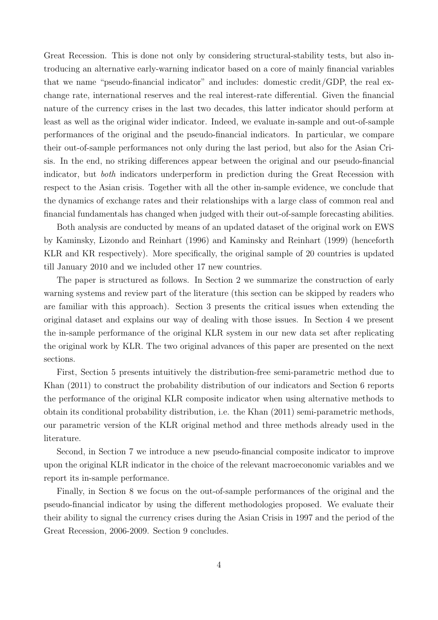Great Recession. This is done not only by considering structural-stability tests, but also introducing an alternative early-warning indicator based on a core of mainly financial variables that we name "pseudo-financial indicator" and includes: domestic credit/GDP, the real exchange rate, international reserves and the real interest-rate differential. Given the financial nature of the currency crises in the last two decades, this latter indicator should perform at least as well as the original wider indicator. Indeed, we evaluate in-sample and out-of-sample performances of the original and the pseudo-financial indicators. In particular, we compare their out-of-sample performances not only during the last period, but also for the Asian Crisis. In the end, no striking differences appear between the original and our pseudo-financial indicator, but both indicators underperform in prediction during the Great Recession with respect to the Asian crisis. Together with all the other in-sample evidence, we conclude that the dynamics of exchange rates and their relationships with a large class of common real and financial fundamentals has changed when judged with their out-of-sample forecasting abilities.

Both analysis are conducted by means of an updated dataset of the original work on EWS by Kaminsky, Lizondo and Reinhart (1996) and Kaminsky and Reinhart (1999) (henceforth KLR and KR respectively). More specifically, the original sample of 20 countries is updated till January 2010 and we included other 17 new countries.

The paper is structured as follows. In Section 2 we summarize the construction of early warning systems and review part of the literature (this section can be skipped by readers who are familiar with this approach). Section 3 presents the critical issues when extending the original dataset and explains our way of dealing with those issues. In Section 4 we present the in-sample performance of the original KLR system in our new data set after replicating the original work by KLR. The two original advances of this paper are presented on the next sections.

First, Section 5 presents intuitively the distribution-free semi-parametric method due to Khan (2011) to construct the probability distribution of our indicators and Section 6 reports the performance of the original KLR composite indicator when using alternative methods to obtain its conditional probability distribution, i.e. the Khan (2011) semi-parametric methods, our parametric version of the KLR original method and three methods already used in the literature.

Second, in Section 7 we introduce a new pseudo-financial composite indicator to improve upon the original KLR indicator in the choice of the relevant macroeconomic variables and we report its in-sample performance.

Finally, in Section 8 we focus on the out-of-sample performances of the original and the pseudo-financial indicator by using the different methodologies proposed. We evaluate their their ability to signal the currency crises during the Asian Crisis in 1997 and the period of the Great Recession, 2006-2009. Section 9 concludes.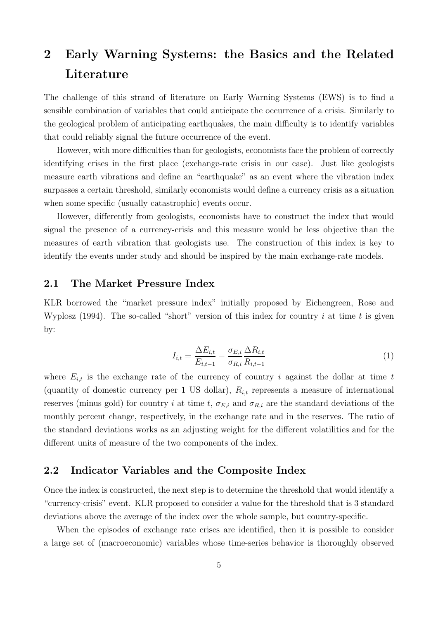# 2 Early Warning Systems: the Basics and the Related Literature

The challenge of this strand of literature on Early Warning Systems (EWS) is to find a sensible combination of variables that could anticipate the occurrence of a crisis. Similarly to the geological problem of anticipating earthquakes, the main difficulty is to identify variables that could reliably signal the future occurrence of the event.

However, with more difficulties than for geologists, economists face the problem of correctly identifying crises in the first place (exchange-rate crisis in our case). Just like geologists measure earth vibrations and define an "earthquake" as an event where the vibration index surpasses a certain threshold, similarly economists would define a currency crisis as a situation when some specific (usually catastrophic) events occur.

However, differently from geologists, economists have to construct the index that would signal the presence of a currency-crisis and this measure would be less objective than the measures of earth vibration that geologists use. The construction of this index is key to identify the events under study and should be inspired by the main exchange-rate models.

#### 2.1 The Market Pressure Index

KLR borrowed the "market pressure index" initially proposed by Eichengreen, Rose and Wyplosz (1994). The so-called "short" version of this index for country i at time t is given by:

$$
I_{i,t} = \frac{\Delta E_{i,t}}{E_{i,t-1}} - \frac{\sigma_{E,i}}{\sigma_{R,i}} \frac{\Delta R_{i,t}}{R_{i,t-1}}
$$
(1)

where  $E_{i,t}$  is the exchange rate of the currency of country i against the dollar at time t (quantity of domestic currency per 1 US dollar),  $R_{i,t}$  represents a measure of international reserves (minus gold) for country i at time t,  $\sigma_{E,i}$  and  $\sigma_{R,i}$  are the standard deviations of the monthly percent change, respectively, in the exchange rate and in the reserves. The ratio of the standard deviations works as an adjusting weight for the different volatilities and for the different units of measure of the two components of the index.

### 2.2 Indicator Variables and the Composite Index

Once the index is constructed, the next step is to determine the threshold that would identify a "currency-crisis" event. KLR proposed to consider a value for the threshold that is 3 standard deviations above the average of the index over the whole sample, but country-specific.

When the episodes of exchange rate crises are identified, then it is possible to consider a large set of (macroeconomic) variables whose time-series behavior is thoroughly observed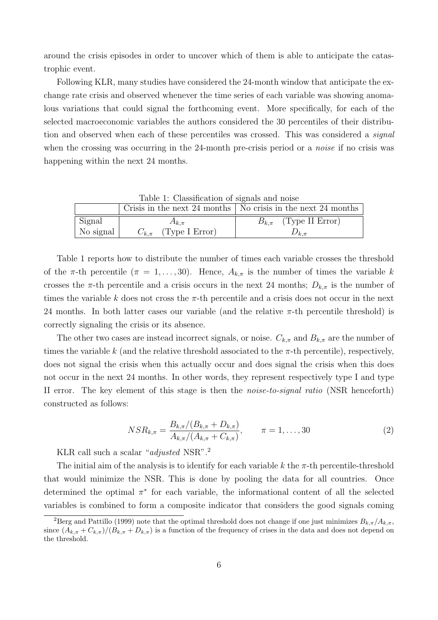around the crisis episodes in order to uncover which of them is able to anticipate the catastrophic event.

Following KLR, many studies have considered the 24-month window that anticipate the exchange rate crisis and observed whenever the time series of each variable was showing anomalous variations that could signal the forthcoming event. More specifically, for each of the selected macroeconomic variables the authors considered the 30 percentiles of their distribution and observed when each of these percentiles was crossed. This was considered a *signal* when the crossing was occurring in the 24-month pre-crisis period or a *noise* if no crisis was happening within the next 24 months.

| Table 1. Classification of signals and holse |                            |                                                                      |  |  |  |  |  |  |  |
|----------------------------------------------|----------------------------|----------------------------------------------------------------------|--|--|--|--|--|--|--|
|                                              |                            | Crisis in the next 24 months $\vert$ No crisis in the next 24 months |  |  |  |  |  |  |  |
| Signal                                       | $A_{k,\pi}$                | $B_{k,\pi}$ (Type II Error)                                          |  |  |  |  |  |  |  |
| No signal                                    | $C_{k,\pi}$ (Type I Error) | $\nu_{k,\pi}$                                                        |  |  |  |  |  |  |  |

Table 1: Classification of signals and noise

Table 1 reports how to distribute the number of times each variable crosses the threshold of the π-th percentile  $(\pi = 1, \ldots, 30)$ . Hence,  $A_{k,\pi}$  is the number of times the variable k crosses the π-th percentile and a crisis occurs in the next 24 months;  $D_{k,\pi}$  is the number of times the variable k does not cross the  $\pi$ -th percentile and a crisis does not occur in the next 24 months. In both latter cases our variable (and the relative  $\pi$ -th percentile threshold) is correctly signaling the crisis or its absence.

The other two cases are instead incorrect signals, or noise.  $C_{k,\pi}$  and  $B_{k,\pi}$  are the number of times the variable k (and the relative threshold associated to the  $\pi$ -th percentile), respectively, does not signal the crisis when this actually occur and does signal the crisis when this does not occur in the next 24 months. In other words, they represent respectively type I and type II error. The key element of this stage is then the noise-to-signal ratio (NSR henceforth) constructed as follows:

$$
NSR_{k,\pi} = \frac{B_{k,\pi}/(B_{k,\pi} + D_{k,\pi})}{A_{k,\pi}/(A_{k,\pi} + C_{k,\pi})}, \qquad \pi = 1, \dots, 30
$$
\n(2)

KLR call such a scalar "adjusted NSR".<sup>2</sup>

The initial aim of the analysis is to identify for each variable k the  $\pi$ -th percentile-threshold that would minimize the NSR. This is done by pooling the data for all countries. Once determined the optimal  $\pi^*$  for each variable, the informational content of all the selected variables is combined to form a composite indicator that considers the good signals coming

<sup>&</sup>lt;sup>2</sup>Berg and Pattillo (1999) note that the optimal threshold does not change if one just minimizes  $B_{k,\pi}/A_{k,\pi}$ , since  $(A_{k,\pi}+C_{k,\pi})/(B_{k,\pi}+D_{k,\pi})$  is a function of the frequency of crises in the data and does not depend on the threshold.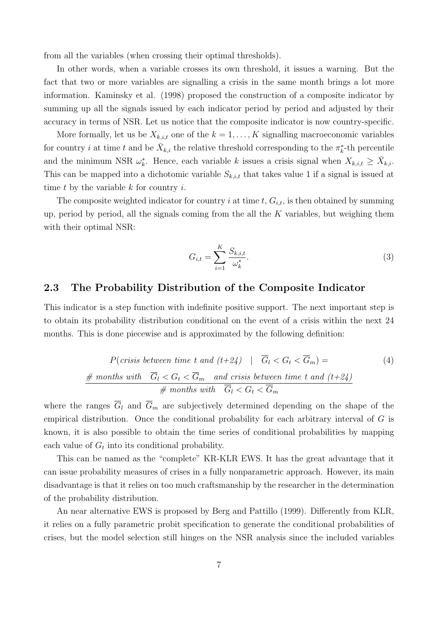from all the variables (when crossing their optimal thresholds).

In other words, when a variable crosses its own threshold, it issues a warning. But the fact that two or more variables are signalling a crisis in the same month brings a lot more information. Kaminsky et al. (1998) proposed the construction of a composite indicator by summing up all the signals issued by each indicator period by period and adjusted by their accuracy in terms of NSR. Let us notice that the composite indicator is now country-specific.

More formally, let us be  $X_{k,i,t}$  one of the  $k = 1, \ldots, K$  signalling macroeconomic variables for country *i* at time *t* and be  $\bar{X}_{k,i}$  the relative threshold corresponding to the  $\pi_k^*$ -th percentile and the minimum NSR  $\omega_k^*$ . Hence, each variable k issues a crisis signal when  $X_{k,i,t} \geq \bar{X}_{k,i}$ . This can be mapped into a dichotomic variable  $S_{k,i,t}$  that takes value 1 if a signal is issued at time t by the variable  $k$  for country  $i$ .

The composite weighted indicator for country i at time  $t, G_{i,t}$ , is then obtained by summing up, period by period, all the signals coming from the all the  $K$  variables, but weighing them with their optimal NSR:

$$
G_{i,t} = \sum_{i=1}^{K} \frac{S_{k,i,t}}{\omega_k^*}.
$$
 (3)

### 2.3 The Probability Distribution of the Composite Indicator

This indicator is a step function with indefinite positive support. The next important step is to obtain its probability distribution conditional on the event of a crisis within the next 24 months. This is done piecewise and is approximated by the following definition:

$$
P(crisis between time t and (t+24) | \overline{G}_l < G_t < \overline{G}_m) = \text{(4)}
$$
\n
$$
\frac{\# \text{ months with } \overline{G}_l < G_t < \overline{G}_m \text{ and crisis between time t and (t+24)}}{\# \text{ months with } \overline{G}_l < G_t < \overline{G}_m}
$$

where the ranges  $\overline{G}_l$  and  $\overline{G}_m$  are subjectively determined depending on the shape of the empirical distribution. Once the conditional probability for each arbitrary interval of  $G$  is known, it is also possible to obtain the time series of conditional probabilities by mapping each value of  $G_t$  into its conditional probability.

This can be named as the "complete" KR-KLR EWS. It has the great advantage that it can issue probability measures of crises in a fully nonparametric approach. However, its main disadvantage is that it relies on too much craftsmanship by the researcher in the determination of the probability distribution.

An near alternative EWS is proposed by Berg and Pattillo (1999). Differently from KLR, it relies on a fully parametric probit specification to generate the conditional probabilities of crises, but the model selection still hinges on the NSR analysis since the included variables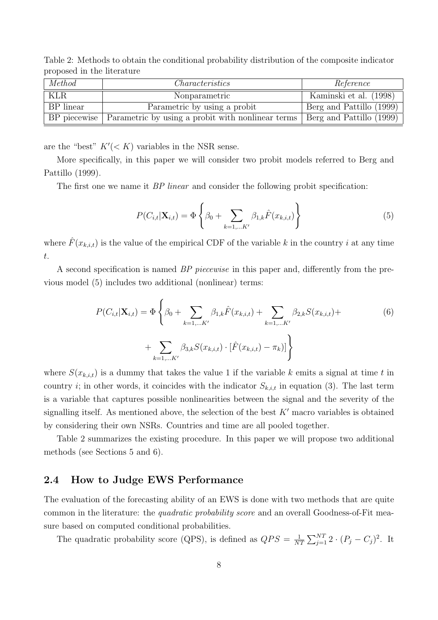Table 2: Methods to obtain the conditional probability distribution of the composite indicator proposed in the literature

| Method    | Characteristics                                                  | Reference                |  |  |
|-----------|------------------------------------------------------------------|--------------------------|--|--|
| KLR       | Nonparametric                                                    | Kaminski et al. (1998)   |  |  |
| BP linear | Parametric by using a probit                                     | Berg and Pattillo (1999) |  |  |
|           | BP piecewise   Parametric by using a probit with nonlinear terms | Berg and Pattillo (1999) |  |  |

are the "best"  $K'(< K)$  variables in the NSR sense.

More specifically, in this paper we will consider two probit models referred to Berg and Pattillo (1999).

The first one we name it *BP linear* and consider the following probit specification:

$$
P(C_{i,t}|\mathbf{X}_{i,t}) = \Phi\left\{\beta_0 + \sum_{k=1,\dots K'} \beta_{1,k} \hat{F}(x_{k,i,t})\right\}
$$
(5)

where  $\hat{F}(x_{k,i,t})$  is the value of the empirical CDF of the variable k in the country i at any time t.

A second specification is named BP piecewise in this paper and, differently from the previous model (5) includes two additional (nonlinear) terms:

$$
P(C_{i,t}|\mathbf{X}_{i,t}) = \Phi\left\{\beta_0 + \sum_{k=1,\dots K'} \beta_{1,k}\hat{F}(x_{k,i,t}) + \sum_{k=1,\dots K'} \beta_{2,k}S(x_{k,i,t}) + \sum_{k=1,\dots K'} \beta_{3,k}S(x_{k,i,t}) \cdot [\hat{F}(x_{k,i,t}) - \pi_k)]\right\}
$$
(6)

where  $S(x_{k,i,t})$  is a dummy that takes the value 1 if the variable k emits a signal at time t in country *i*; in other words, it coincides with the indicator  $S_{k,i,t}$  in equation (3). The last term is a variable that captures possible nonlinearities between the signal and the severity of the signalling itself. As mentioned above, the selection of the best  $K'$  macro variables is obtained by considering their own NSRs. Countries and time are all pooled together.

Table 2 summarizes the existing procedure. In this paper we will propose two additional methods (see Sections 5 and 6).

#### 2.4 How to Judge EWS Performance

The evaluation of the forecasting ability of an EWS is done with two methods that are quite common in the literature: the *quadratic probability score* and an overall Goodness-of-Fit measure based on computed conditional probabilities.

The quadratic probability score (QPS), is defined as  $QPS = \frac{1}{N'}$  $\frac{1}{NT} \sum_{j=1}^{NT} 2 \cdot (P_j - C_j)^2$ . It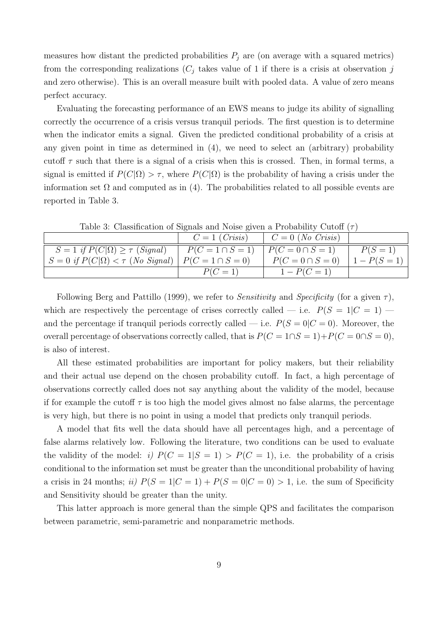measures how distant the predicted probabilities  $P_j$  are (on average with a squared metrics) from the corresponding realizations  $(C_j$  takes value of 1 if there is a crisis at observation j and zero otherwise). This is an overall measure built with pooled data. A value of zero means perfect accuracy.

Evaluating the forecasting performance of an EWS means to judge its ability of signalling correctly the occurrence of a crisis versus tranquil periods. The first question is to determine when the indicator emits a signal. Given the predicted conditional probability of a crisis at any given point in time as determined in (4), we need to select an (arbitrary) probability cutoff  $\tau$  such that there is a signal of a crisis when this is crossed. Then, in formal terms, a signal is emitted if  $P(C|\Omega) > \tau$ , where  $P(C|\Omega)$  is the probability of having a crisis under the information set  $\Omega$  and computed as in (4). The probabilities related to all possible events are reported in Table 3.

|                                                                   | $C=1$ ( <i>Crisis</i> ) | $\mid C = 0$ (No Crisis) |                |
|-------------------------------------------------------------------|-------------------------|--------------------------|----------------|
| $S = 1$ if $P(C \Omega) \geq \tau$ (Signal)                       | $P(C = 1 \cap S = 1)$   | $P(C = 0 \cap S = 1)$    | $P(S = 1)$     |
| $S = 0$ if $P(C \Omega) < \tau$ (No Signal) $P(C = 1 \cap S = 0)$ |                         | $P(C = 0 \cap S = 0)$    | $1 - P(S = 1)$ |
|                                                                   | $P(C=1)$                | $1 - P(C = 1)$           |                |

Table 3: Classification of Signals and Noise given a Probability Cutoff  $(\tau)$ 

Following Berg and Pattillo (1999), we refer to *Sensitivity* and *Specificity* (for a given  $\tau$ ), which are respectively the percentage of crises correctly called — i.e.  $P(S = 1|C = 1)$  and the percentage if tranquil periods correctly called — i.e.  $P(S = 0|C = 0)$ . Moreover, the overall percentage of observations correctly called, that is  $P(C = 1 \cap S = 1) + P(C = 0 \cap S = 0)$ , is also of interest.

All these estimated probabilities are important for policy makers, but their reliability and their actual use depend on the chosen probability cutoff. In fact, a high percentage of observations correctly called does not say anything about the validity of the model, because if for example the cutoff  $\tau$  is too high the model gives almost no false alarms, the percentage is very high, but there is no point in using a model that predicts only tranquil periods.

A model that fits well the data should have all percentages high, and a percentage of false alarms relatively low. Following the literature, two conditions can be used to evaluate the validity of the model: i)  $P(C = 1|S = 1) > P(C = 1)$ , i.e. the probability of a crisis conditional to the information set must be greater than the unconditional probability of having a crisis in 24 months; ii)  $P(S = 1|C = 1) + P(S = 0|C = 0) > 1$ , i.e. the sum of Specificity and Sensitivity should be greater than the unity.

This latter approach is more general than the simple QPS and facilitates the comparison between parametric, semi-parametric and nonparametric methods.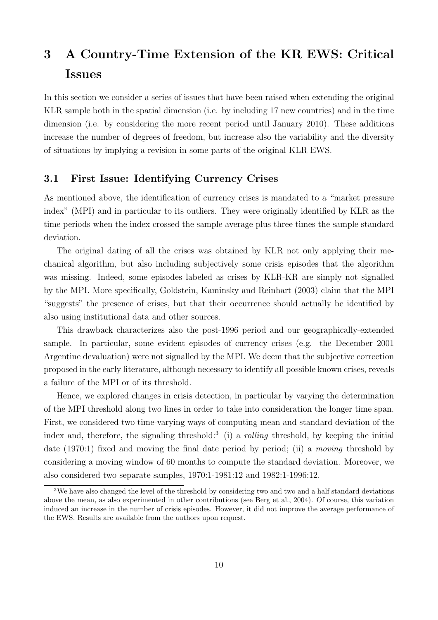# 3 A Country-Time Extension of the KR EWS: Critical Issues

In this section we consider a series of issues that have been raised when extending the original KLR sample both in the spatial dimension (i.e. by including 17 new countries) and in the time dimension (i.e. by considering the more recent period until January 2010). These additions increase the number of degrees of freedom, but increase also the variability and the diversity of situations by implying a revision in some parts of the original KLR EWS.

### 3.1 First Issue: Identifying Currency Crises

As mentioned above, the identification of currency crises is mandated to a "market pressure index" (MPI) and in particular to its outliers. They were originally identified by KLR as the time periods when the index crossed the sample average plus three times the sample standard deviation.

The original dating of all the crises was obtained by KLR not only applying their mechanical algorithm, but also including subjectively some crisis episodes that the algorithm was missing. Indeed, some episodes labeled as crises by KLR-KR are simply not signalled by the MPI. More specifically, Goldstein, Kaminsky and Reinhart (2003) claim that the MPI "suggests" the presence of crises, but that their occurrence should actually be identified by also using institutional data and other sources.

This drawback characterizes also the post-1996 period and our geographically-extended sample. In particular, some evident episodes of currency crises (e.g. the December 2001 Argentine devaluation) were not signalled by the MPI. We deem that the subjective correction proposed in the early literature, although necessary to identify all possible known crises, reveals a failure of the MPI or of its threshold.

Hence, we explored changes in crisis detection, in particular by varying the determination of the MPI threshold along two lines in order to take into consideration the longer time span. First, we considered two time-varying ways of computing mean and standard deviation of the index and, therefore, the signaling threshold:<sup>3</sup> (i) a *rolling* threshold, by keeping the initial date (1970:1) fixed and moving the final date period by period; (ii) a moving threshold by considering a moving window of 60 months to compute the standard deviation. Moreover, we also considered two separate samples, 1970:1-1981:12 and 1982:1-1996:12.

<sup>&</sup>lt;sup>3</sup>We have also changed the level of the threshold by considering two and two and a half standard deviations above the mean, as also experimented in other contributions (see Berg et al., 2004). Of course, this variation induced an increase in the number of crisis episodes. However, it did not improve the average performance of the EWS. Results are available from the authors upon request.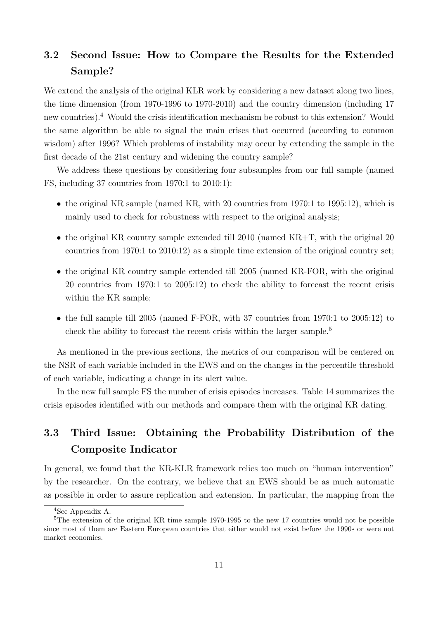## 3.2 Second Issue: How to Compare the Results for the Extended Sample?

We extend the analysis of the original KLR work by considering a new dataset along two lines, the time dimension (from 1970-1996 to 1970-2010) and the country dimension (including 17 new countries).<sup>4</sup> Would the crisis identification mechanism be robust to this extension? Would the same algorithm be able to signal the main crises that occurred (according to common wisdom) after 1996? Which problems of instability may occur by extending the sample in the first decade of the 21st century and widening the country sample?

We address these questions by considering four subsamples from our full sample (named FS, including 37 countries from 1970:1 to 2010:1):

- the original KR sample (named KR, with 20 countries from  $1970:1$  to  $1995:12$ ), which is mainly used to check for robustness with respect to the original analysis;
- the original KR country sample extended till 2010 (named  $KR+T$ , with the original 20 countries from 1970:1 to 2010:12) as a simple time extension of the original country set;
- the original KR country sample extended till 2005 (named KR-FOR, with the original 20 countries from 1970:1 to 2005:12) to check the ability to forecast the recent crisis within the KR sample;
- the full sample till 2005 (named F-FOR, with 37 countries from 1970:1 to 2005:12) to check the ability to forecast the recent crisis within the larger sample.<sup>5</sup>

As mentioned in the previous sections, the metrics of our comparison will be centered on the NSR of each variable included in the EWS and on the changes in the percentile threshold of each variable, indicating a change in its alert value.

In the new full sample FS the number of crisis episodes increases. Table 14 summarizes the crisis episodes identified with our methods and compare them with the original KR dating.

## 3.3 Third Issue: Obtaining the Probability Distribution of the Composite Indicator

In general, we found that the KR-KLR framework relies too much on "human intervention" by the researcher. On the contrary, we believe that an EWS should be as much automatic as possible in order to assure replication and extension. In particular, the mapping from the

<sup>4</sup>See Appendix A.

<sup>&</sup>lt;sup>5</sup>The extension of the original KR time sample 1970-1995 to the new 17 countries would not be possible since most of them are Eastern European countries that either would not exist before the 1990s or were not market economies.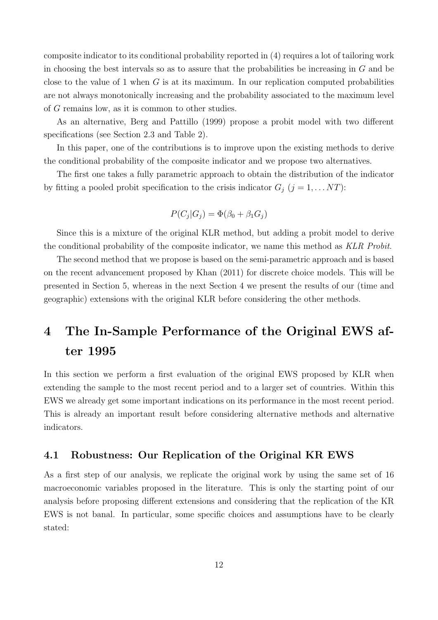composite indicator to its conditional probability reported in (4) requires a lot of tailoring work in choosing the best intervals so as to assure that the probabilities be increasing in  $G$  and be close to the value of 1 when  $G$  is at its maximum. In our replication computed probabilities are not always monotonically increasing and the probability associated to the maximum level of G remains low, as it is common to other studies.

As an alternative, Berg and Pattillo (1999) propose a probit model with two different specifications (see Section 2.3 and Table 2).

In this paper, one of the contributions is to improve upon the existing methods to derive the conditional probability of the composite indicator and we propose two alternatives.

The first one takes a fully parametric approach to obtain the distribution of the indicator by fitting a pooled probit specification to the crisis indicator  $G_j$   $(j = 1, \ldots NT)$ :

$$
P(C_j|G_j) = \Phi(\beta_0 + \beta_1 G_j)
$$

Since this is a mixture of the original KLR method, but adding a probit model to derive the conditional probability of the composite indicator, we name this method as KLR Probit.

The second method that we propose is based on the semi-parametric approach and is based on the recent advancement proposed by Khan (2011) for discrete choice models. This will be presented in Section 5, whereas in the next Section 4 we present the results of our (time and geographic) extensions with the original KLR before considering the other methods.

# 4 The In-Sample Performance of the Original EWS after 1995

In this section we perform a first evaluation of the original EWS proposed by KLR when extending the sample to the most recent period and to a larger set of countries. Within this EWS we already get some important indications on its performance in the most recent period. This is already an important result before considering alternative methods and alternative indicators.

### 4.1 Robustness: Our Replication of the Original KR EWS

As a first step of our analysis, we replicate the original work by using the same set of 16 macroeconomic variables proposed in the literature. This is only the starting point of our analysis before proposing different extensions and considering that the replication of the KR EWS is not banal. In particular, some specific choices and assumptions have to be clearly stated: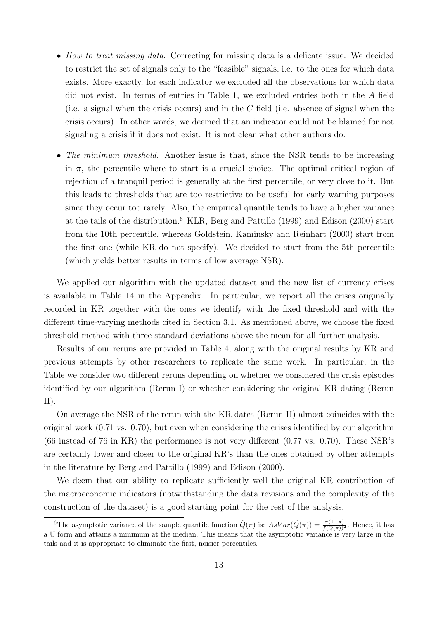- How to treat missing data. Correcting for missing data is a delicate issue. We decided to restrict the set of signals only to the "feasible" signals, i.e. to the ones for which data exists. More exactly, for each indicator we excluded all the observations for which data did not exist. In terms of entries in Table 1, we excluded entries both in the A field (i.e. a signal when the crisis occurs) and in the C field (i.e. absence of signal when the crisis occurs). In other words, we deemed that an indicator could not be blamed for not signaling a crisis if it does not exist. It is not clear what other authors do.
- The minimum threshold. Another issue is that, since the NSR tends to be increasing in  $\pi$ , the percentile where to start is a crucial choice. The optimal critical region of rejection of a tranquil period is generally at the first percentile, or very close to it. But this leads to thresholds that are too restrictive to be useful for early warning purposes since they occur too rarely. Also, the empirical quantile tends to have a higher variance at the tails of the distribution.<sup>6</sup> KLR, Berg and Pattillo (1999) and Edison (2000) start from the 10th percentile, whereas Goldstein, Kaminsky and Reinhart (2000) start from the first one (while KR do not specify). We decided to start from the 5th percentile (which yields better results in terms of low average NSR).

We applied our algorithm with the updated dataset and the new list of currency crises is available in Table 14 in the Appendix. In particular, we report all the crises originally recorded in KR together with the ones we identify with the fixed threshold and with the different time-varying methods cited in Section 3.1. As mentioned above, we choose the fixed threshold method with three standard deviations above the mean for all further analysis.

Results of our reruns are provided in Table 4, along with the original results by KR and previous attempts by other researchers to replicate the same work. In particular, in the Table we consider two different reruns depending on whether we considered the crisis episodes identified by our algorithm (Rerun I) or whether considering the original KR dating (Rerun II).

On average the NSR of the rerun with the KR dates (Rerun II) almost coincides with the original work (0.71 vs. 0.70), but even when considering the crises identified by our algorithm (66 instead of 76 in KR) the performance is not very different (0.77 vs. 0.70). These NSR's are certainly lower and closer to the original KR's than the ones obtained by other attempts in the literature by Berg and Pattillo (1999) and Edison (2000).

We deem that our ability to replicate sufficiently well the original KR contribution of the macroeconomic indicators (notwithstanding the data revisions and the complexity of the construction of the dataset) is a good starting point for the rest of the analysis.

<sup>&</sup>lt;sup>6</sup>The asymptotic variance of the sample quantile function  $\hat{Q}(\pi)$  is:  $AsVar(\hat{Q}(\pi)) = \frac{\pi(1-\pi)}{f(Q(\pi))^2}$ . Hence, it has a U form and attains a minimum at the median. This means that the asymptotic variance is very large in the tails and it is appropriate to eliminate the first, noisier percentiles.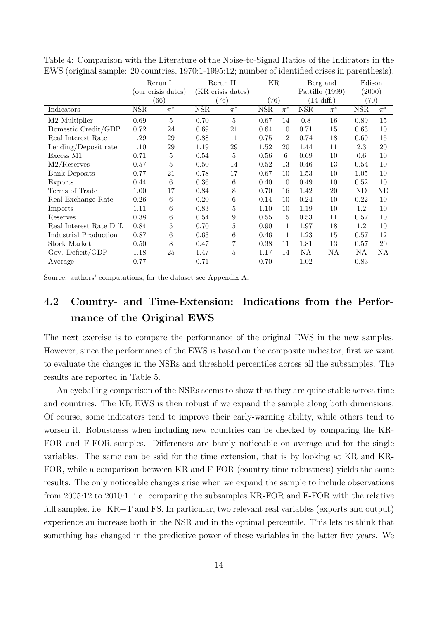|                           | Rerun $\cal I$     |                    | Rerun II   |                    | KR           |         | Berg and             |                 | Edison       |         |  |
|---------------------------|--------------------|--------------------|------------|--------------------|--------------|---------|----------------------|-----------------|--------------|---------|--|
|                           | (our crisis dates) |                    |            | (KR crisis dates)  |              |         |                      | Pattillo (1999) |              | (2000)  |  |
|                           |                    | (66)               | (76)       |                    | (76)         |         | $(14 \text{ diff.})$ |                 | (70)         |         |  |
| Indicators                | $_{\rm NSR}$       | $\overline{\pi^*}$ | <b>NSR</b> | $\overline{\pi^*}$ | $_{\rm NSR}$ | $\pi^*$ | $_{\rm NSR}$         | $\pi^*$         | $_{\rm NSR}$ | $\pi^*$ |  |
| M <sub>2</sub> Multiplier | 0.69               | 5                  | 0.70       | 5                  | 0.67         | 14      | 0.8                  | 16              | 0.89         | 15      |  |
| Domestic Credit/GDP       | 0.72               | 24                 | 0.69       | 21                 | 0.64         | 10      | 0.71                 | 15              | 0.63         | 10      |  |
| Real Interest Rate        | 1.29               | 29                 | 0.88       | 11                 | 0.75         | 12      | 0.74                 | 18              | 0.69         | 15      |  |
| Lending/Deposit rate      | 1.10               | $\,29$             | 1.19       | 29                 | 1.52         | 20      | 1.44                 | 11              | 2.3          | 20      |  |
| Excess M1                 | 0.71               | 5                  | 0.54       | 5                  | 0.56         | 6       | 0.69                 | 10              | 0.6          | 10      |  |
| M2/Reserves               | 0.57               | 5                  | 0.50       | 14                 | 0.52         | 13      | 0.46                 | 13              | 0.54         | 10      |  |
| <b>Bank Deposits</b>      | 0.77               | 21                 | 0.78       | 17                 | 0.67         | 10      | 1.53                 | 10              | 1.05         | 10      |  |
| Exports                   | 0.44               | 6                  | 0.36       | 6                  | 0.40         | 10      | 0.49                 | 10              | 0.52         | 10      |  |
| Terms of Trade            | 1.00               | 17                 | 0.84       | 8                  | 0.70         | 16      | 1.42                 | 20              | ND           | ND      |  |
| Real Exchange Rate        | 0.26               | 6                  | 0.20       | 6                  | 0.14         | 10      | 0.24                 | 10              | 0.22         | 10      |  |
| Imports                   | 1.11               | 6                  | 0.83       | 5                  | 1.10         | 10      | 1.19                 | 10              | 1.2          | 10      |  |
| Reserves                  | 0.38               | 6                  | 0.54       | 9                  | 0.55         | 15      | 0.53                 | 11              | 0.57         | 10      |  |
| Real Interest Rate Diff.  | 0.84               | 5                  | 0.70       | 5                  | 0.90         | 11      | 1.97                 | 18              | 1.2          | 10      |  |
| Industrial Production     | 0.87               | 6                  | 0.63       | 6                  | 0.46         | 11      | 1.23                 | 15              | 0.57         | 12      |  |
| Stock Market              | 0.50               | 8                  | 0.47       | 7                  | 0.38         | 11      | 1.81                 | 13              | 0.57         | 20      |  |
| Gov. Deficit/GDP          | 1.18               | 25                 | 1.47       | 5                  | 1.17         | 14      | NA                   | ΝA              | ΝA           | NA      |  |
| Average                   | 0.77               |                    | 0.71       |                    | 0.70         |         | 1.02                 |                 | 0.83         |         |  |

Table 4: Comparison with the Literature of the Noise-to-Signal Ratios of the Indicators in the EWS (original sample: 20 countries, 1970:1-1995:12; number of identified crises in parenthesis).

Source: authors' computations; for the dataset see Appendix A.

## 4.2 Country- and Time-Extension: Indications from the Performance of the Original EWS

The next exercise is to compare the performance of the original EWS in the new samples. However, since the performance of the EWS is based on the composite indicator, first we want to evaluate the changes in the NSRs and threshold percentiles across all the subsamples. The results are reported in Table 5.

An eyeballing comparison of the NSRs seems to show that they are quite stable across time and countries. The KR EWS is then robust if we expand the sample along both dimensions. Of course, some indicators tend to improve their early-warning ability, while others tend to worsen it. Robustness when including new countries can be checked by comparing the KR-FOR and F-FOR samples. Differences are barely noticeable on average and for the single variables. The same can be said for the time extension, that is by looking at KR and KR-FOR, while a comparison between KR and F-FOR (country-time robustness) yields the same results. The only noticeable changes arise when we expand the sample to include observations from 2005:12 to 2010:1, i.e. comparing the subsamples KR-FOR and F-FOR with the relative full samples, i.e. KR+T and FS. In particular, two relevant real variables (exports and output) experience an increase both in the NSR and in the optimal percentile. This lets us think that something has changed in the predictive power of these variables in the latter five years. We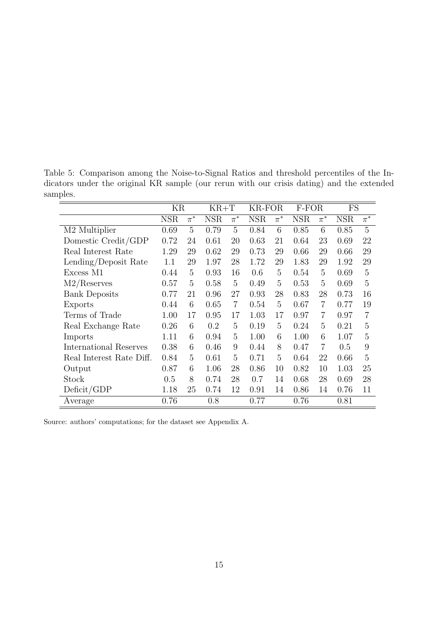|                               | ΚR         |         | $KR+T$     |                | KR-FOR     |         | F-FOR      |                | FS         |                |
|-------------------------------|------------|---------|------------|----------------|------------|---------|------------|----------------|------------|----------------|
|                               | <b>NSR</b> | $\pi^*$ | <b>NSR</b> | $\pi^*$        | <b>NSR</b> | $\pi^*$ | <b>NSR</b> | $\pi^*$        | <b>NSR</b> | $\pi^*$        |
| M2 Multiplier                 | 0.69       | 5       | 0.79       | 5              | 0.84       | 6       | 0.85       | 6              | 0.85       | 5              |
| Domestic Credit/GDP           | 0.72       | 24      | 0.61       | 20             | 0.63       | 21      | 0.64       | 23             | 0.69       | 22             |
| Real Interest Rate            | 1.29       | 29      | 0.62       | 29             | 0.73       | 29      | 0.66       | 29             | 0.66       | 29             |
| Lending/Deposit Rate          | 1.1        | 29      | 1.97       | 28             | 1.72       | 29      | 1.83       | 29             | 1.92       | 29             |
| Excess M1                     | 0.44       | 5       | 0.93       | 16             | 0.6        | 5       | 0.54       | 5              | 0.69       | 5              |
| M2/Reserves                   | 0.57       | 5       | 0.58       | 5              | 0.49       | 5       | 0.53       | 5              | 0.69       | 5              |
| <b>Bank Deposits</b>          | 0.77       | 21      | 0.96       | 27             | 0.93       | 28      | 0.83       | 28             | 0.73       | 16             |
| Exports                       | 0.44       | 6       | 0.65       | $\overline{7}$ | 0.54       | 5       | 0.67       | 7              | 0.77       | 19             |
| Terms of Trade                | 1.00       | 17      | 0.95       | 17             | 1.03       | 17      | 0.97       | 7              | 0.97       | $\overline{7}$ |
| Real Exchange Rate            | 0.26       | 6       | 0.2        | 5              | 0.19       | 5       | 0.24       | 5              | 0.21       | 5              |
| Imports                       | 1.11       | 6       | 0.94       | $\overline{5}$ | 1.00       | 6       | 1.00       | 6              | 1.07       | 5              |
| <b>International Reserves</b> | 0.38       | 6       | 0.46       | 9              | 0.44       | 8       | 0.47       | $\overline{7}$ | 0.5        | 9              |
| Real Interest Rate Diff.      | 0.84       | 5       | 0.61       | 5              | 0.71       | 5       | 0.64       | 22             | 0.66       | 5              |
| Output                        | 0.87       | 6       | 1.06       | 28             | 0.86       | 10      | 0.82       | 10             | 1.03       | 25             |
| Stock                         | 0.5        | 8       | 0.74       | 28             | 0.7        | 14      | 0.68       | 28             | 0.69       | 28             |
| Deficit/GDP                   | 1.18       | 25      | 0.74       | 12             | 0.91       | 14      | 0.86       | 14             | 0.76       | 11             |
| Average                       | 0.76       |         | 0.8        |                | 0.77       |         | 0.76       |                | 0.81       |                |

Table 5: Comparison among the Noise-to-Signal Ratios and threshold percentiles of the Indicators under the original KR sample (our rerun with our crisis dating) and the extended samples.

Source: authors' computations; for the dataset see Appendix A.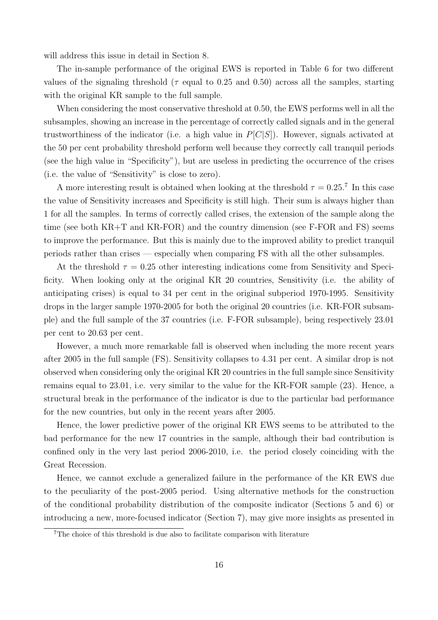will address this issue in detail in Section 8.

The in-sample performance of the original EWS is reported in Table 6 for two different values of the signaling threshold ( $\tau$  equal to 0.25 and 0.50) across all the samples, starting with the original KR sample to the full sample.

When considering the most conservative threshold at 0.50, the EWS performs well in all the subsamples, showing an increase in the percentage of correctly called signals and in the general trustworthiness of the indicator (i.e. a high value in  $P[C|S]$ ). However, signals activated at the 50 per cent probability threshold perform well because they correctly call tranquil periods (see the high value in "Specificity"), but are useless in predicting the occurrence of the crises (i.e. the value of "Sensitivity" is close to zero).

A more interesting result is obtained when looking at the threshold  $\tau = 0.25$ .<sup>7</sup> In this case the value of Sensitivity increases and Specificity is still high. Their sum is always higher than 1 for all the samples. In terms of correctly called crises, the extension of the sample along the time (see both KR+T and KR-FOR) and the country dimension (see F-FOR and FS) seems to improve the performance. But this is mainly due to the improved ability to predict tranquil periods rather than crises — especially when comparing FS with all the other subsamples.

At the threshold  $\tau = 0.25$  other interesting indications come from Sensitivity and Specificity. When looking only at the original KR 20 countries, Sensitivity (i.e. the ability of anticipating crises) is equal to 34 per cent in the original subperiod 1970-1995. Sensitivity drops in the larger sample 1970-2005 for both the original 20 countries (i.e. KR-FOR subsample) and the full sample of the 37 countries (i.e. F-FOR subsample), being respectively 23.01 per cent to 20.63 per cent.

However, a much more remarkable fall is observed when including the more recent years after 2005 in the full sample (FS). Sensitivity collapses to 4.31 per cent. A similar drop is not observed when considering only the original KR 20 countries in the full sample since Sensitivity remains equal to 23.01, i.e. very similar to the value for the KR-FOR sample (23). Hence, a structural break in the performance of the indicator is due to the particular bad performance for the new countries, but only in the recent years after 2005.

Hence, the lower predictive power of the original KR EWS seems to be attributed to the bad performance for the new 17 countries in the sample, although their bad contribution is confined only in the very last period 2006-2010, i.e. the period closely coinciding with the Great Recession.

Hence, we cannot exclude a generalized failure in the performance of the KR EWS due to the peculiarity of the post-2005 period. Using alternative methods for the construction of the conditional probability distribution of the composite indicator (Sections 5 and 6) or introducing a new, more-focused indicator (Section 7), may give more insights as presented in

<sup>7</sup>The choice of this threshold is due also to facilitate comparison with literature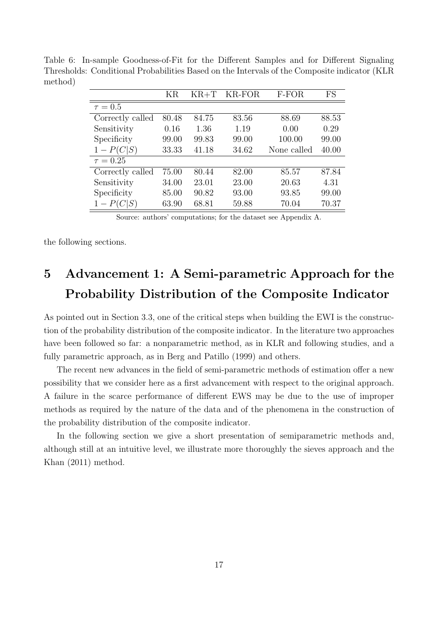Table 6: In-sample Goodness-of-Fit for the Different Samples and for Different Signaling Thresholds: Conditional Probabilities Based on the Intervals of the Composite indicator (KLR method)

|                  | ΚR    | $KR+T$ | KR-FOR | $F$ - $FOR$ | FS    |
|------------------|-------|--------|--------|-------------|-------|
| $\tau = 0.5$     |       |        |        |             |       |
| Correctly called | 80.48 | 84.75  | 83.56  | 88.69       | 88.53 |
| Sensitivity      | 0.16  | 1.36   | 1.19   | 0.00        | 0.29  |
| Specificity      | 99.00 | 99.83  | 99.00  | 100.00      | 99.00 |
| $1 - P(C S)$     | 33.33 | 41.18  | 34.62  | None called | 40.00 |
| $\tau = 0.25$    |       |        |        |             |       |
| Correctly called | 75.00 | 80.44  | 82.00  | 85.57       | 87.84 |
| Sensitivity      | 34.00 | 23.01  | 23.00  | 20.63       | 4.31  |
| Specificity      | 85.00 | 90.82  | 93.00  | 93.85       | 99.00 |
| $1-P(C S)$       | 63.90 | 68.81  | 59.88  | 70.04       | 70.37 |

Source: authors' computations; for the dataset see Appendix A.

the following sections.

# 5 Advancement 1: A Semi-parametric Approach for the Probability Distribution of the Composite Indicator

As pointed out in Section 3.3, one of the critical steps when building the EWI is the construction of the probability distribution of the composite indicator. In the literature two approaches have been followed so far: a nonparametric method, as in KLR and following studies, and a fully parametric approach, as in Berg and Patillo (1999) and others.

The recent new advances in the field of semi-parametric methods of estimation offer a new possibility that we consider here as a first advancement with respect to the original approach. A failure in the scarce performance of different EWS may be due to the use of improper methods as required by the nature of the data and of the phenomena in the construction of the probability distribution of the composite indicator.

In the following section we give a short presentation of semiparametric methods and, although still at an intuitive level, we illustrate more thoroughly the sieves approach and the Khan (2011) method.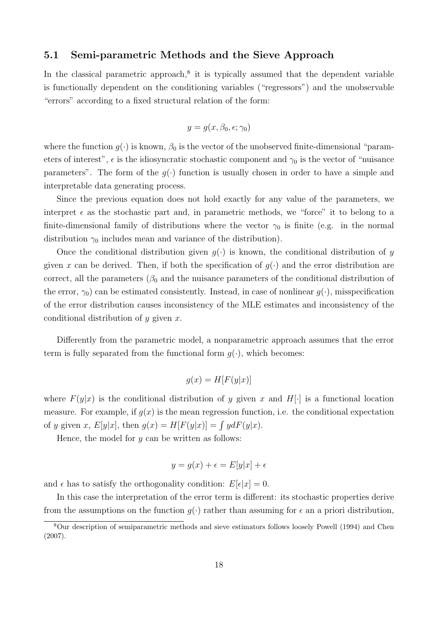### 5.1 Semi-parametric Methods and the Sieve Approach

In the classical parametric approach, $8$  it is typically assumed that the dependent variable is functionally dependent on the conditioning variables ("regressors") and the unobservable "errors" according to a fixed structural relation of the form:

$$
y = g(x, \beta_0, \epsilon; \gamma_0)
$$

where the function  $g(\cdot)$  is known,  $\beta_0$  is the vector of the unobserved finite-dimensional "parameters of interest",  $\epsilon$  is the idiosyncratic stochastic component and  $\gamma_0$  is the vector of "nuisance" parameters". The form of the  $q(\cdot)$  function is usually chosen in order to have a simple and interpretable data generating process.

Since the previous equation does not hold exactly for any value of the parameters, we interpret  $\epsilon$  as the stochastic part and, in parametric methods, we "force" it to belong to a finite-dimensional family of distributions where the vector  $\gamma_0$  is finite (e.g. in the normal distribution  $\gamma_0$  includes mean and variance of the distribution).

Once the conditional distribution given  $g(\cdot)$  is known, the conditional distribution of y given x can be derived. Then, if both the specification of  $g(\cdot)$  and the error distribution are correct, all the parameters  $(\beta_0$  and the nuisance parameters of the conditional distribution of the error,  $\gamma_0$  can be estimated consistently. Instead, in case of nonlinear  $g(\cdot)$ , misspecification of the error distribution causes inconsistency of the MLE estimates and inconsistency of the conditional distribution of  $y$  given  $x$ .

Differently from the parametric model, a nonparametric approach assumes that the error term is fully separated from the functional form  $g(\cdot)$ , which becomes:

$$
g(x) = H[F(y|x)]
$$

where  $F(y|x)$  is the conditional distribution of y given x and H[·] is a functional location measure. For example, if  $g(x)$  is the mean regression function, i.e. the conditional expectation of y given x,  $E[y|x]$ , then  $g(x) = H[F(y|x)] = \int y dF(y|x)$ .

Hence, the model for  $y$  can be written as follows:

$$
y = g(x) + \epsilon = E[y|x] + \epsilon
$$

and  $\epsilon$  has to satisfy the orthogonality condition:  $E[\epsilon|x] = 0$ .

In this case the interpretation of the error term is different: its stochastic properties derive from the assumptions on the function  $g(\cdot)$  rather than assuming for  $\epsilon$  an a priori distribution,

<sup>8</sup>Our description of semiparametric methods and sieve estimators follows loosely Powell (1994) and Chen (2007).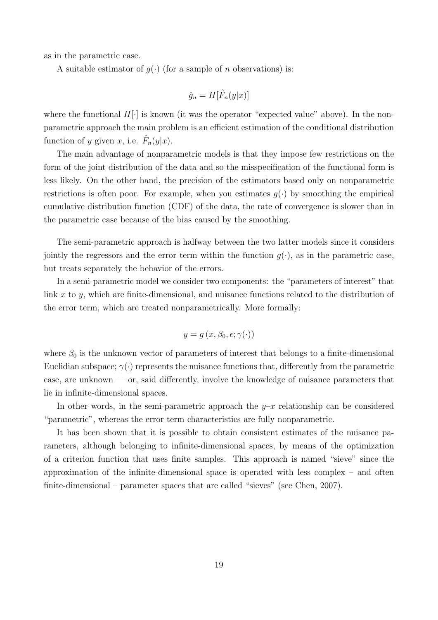as in the parametric case.

A suitable estimator of  $g(\cdot)$  (for a sample of n observations) is:

$$
\hat{g}_n = H[\hat{F}_n(y|x)]
$$

where the functional  $H[\cdot]$  is known (it was the operator "expected value" above). In the nonparametric approach the main problem is an efficient estimation of the conditional distribution function of y given x, i.e.  $\hat{F}_n(y|x)$ .

The main advantage of nonparametric models is that they impose few restrictions on the form of the joint distribution of the data and so the misspecification of the functional form is less likely. On the other hand, the precision of the estimators based only on nonparametric restrictions is often poor. For example, when you estimates  $g(\cdot)$  by smoothing the empirical cumulative distribution function (CDF) of the data, the rate of convergence is slower than in the parametric case because of the bias caused by the smoothing.

The semi-parametric approach is halfway between the two latter models since it considers jointly the regressors and the error term within the function  $q(\cdot)$ , as in the parametric case, but treats separately the behavior of the errors.

In a semi-parametric model we consider two components: the "parameters of interest" that link x to y, which are finite-dimensional, and nuisance functions related to the distribution of the error term, which are treated nonparametrically. More formally:

$$
y = g(x, \beta_0, \epsilon; \gamma(\cdot))
$$

where  $\beta_0$  is the unknown vector of parameters of interest that belongs to a finite-dimensional Euclidian subspace;  $\gamma(\cdot)$  represents the nuisance functions that, differently from the parametric case, are unknown — or, said differently, involve the knowledge of nuisance parameters that lie in infinite-dimensional spaces.

In other words, in the semi-parametric approach the  $y-x$  relationship can be considered "parametric", whereas the error term characteristics are fully nonparametric.

It has been shown that it is possible to obtain consistent estimates of the nuisance parameters, although belonging to infinite-dimensional spaces, by means of the optimization of a criterion function that uses finite samples. This approach is named "sieve" since the approximation of the infinite-dimensional space is operated with less complex – and often finite-dimensional – parameter spaces that are called "sieves" (see Chen, 2007).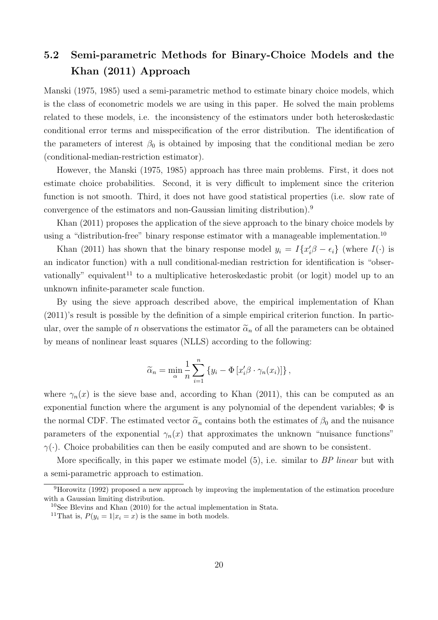## 5.2 Semi-parametric Methods for Binary-Choice Models and the Khan (2011) Approach

Manski (1975, 1985) used a semi-parametric method to estimate binary choice models, which is the class of econometric models we are using in this paper. He solved the main problems related to these models, i.e. the inconsistency of the estimators under both heteroskedastic conditional error terms and misspecification of the error distribution. The identification of the parameters of interest  $\beta_0$  is obtained by imposing that the conditional median be zero (conditional-median-restriction estimator).

However, the Manski (1975, 1985) approach has three main problems. First, it does not estimate choice probabilities. Second, it is very difficult to implement since the criterion function is not smooth. Third, it does not have good statistical properties (i.e. slow rate of convergence of the estimators and non-Gaussian limiting distribution).<sup>9</sup>

Khan (2011) proposes the application of the sieve approach to the binary choice models by using a "distribution-free" binary response estimator with a manageable implementation.<sup>10</sup>

Khan (2011) has shown that the binary response model  $y_i = I\{x_i'\beta - \epsilon_i\}$  (where  $I(\cdot)$  is an indicator function) with a null conditional-median restriction for identification is "observationally" equivalent<sup>11</sup> to a multiplicative heteroskedastic probit (or logit) model up to an unknown infinite-parameter scale function.

By using the sieve approach described above, the empirical implementation of Khan (2011)'s result is possible by the definition of a simple empirical criterion function. In particular, over the sample of n observations the estimator  $\tilde{\alpha}_n$  of all the parameters can be obtained by means of nonlinear least squares (NLLS) according to the following:

$$
\widetilde{\alpha}_n = \min_{\alpha} \frac{1}{n} \sum_{i=1}^n \left\{ y_i - \Phi \left[ x_i' \beta \cdot \gamma_n(x_i) \right] \right\},\,
$$

where  $\gamma_n(x)$  is the sieve base and, according to Khan (2011), this can be computed as an exponential function where the argument is any polynomial of the dependent variables;  $\Phi$  is the normal CDF. The estimated vector  $\tilde{\alpha}_n$  contains both the estimates of  $\beta_0$  and the nuisance parameters of the exponential  $\gamma_n(x)$  that approximates the unknown "nuisance functions"  $\gamma(\cdot)$ . Choice probabilities can then be easily computed and are shown to be consistent.

More specifically, in this paper we estimate model  $(5)$ , i.e. similar to BP linear but with a semi-parametric approach to estimation.

<sup>9</sup>Horowitz (1992) proposed a new approach by improving the implementation of the estimation procedure with a Gaussian limiting distribution.

 $10$ See Blevins and Khan (2010) for the actual implementation in Stata.

<sup>&</sup>lt;sup>11</sup>That is,  $P(y_i = 1 | x_i = x)$  is the same in both models.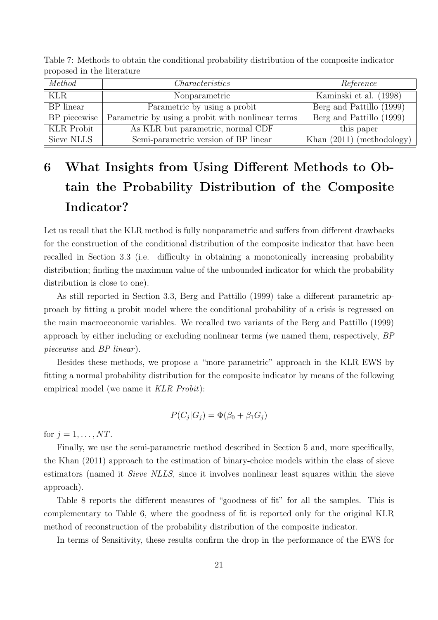| Method            | <i>Characteristics</i>                            | Reference                   |
|-------------------|---------------------------------------------------|-----------------------------|
| KLR               | Nonparametric                                     | Kaminski et al. (1998)      |
| BP linear         | Parametric by using a probit                      | Berg and Pattillo (1999)    |
| $BP$ piecewise    | Parametric by using a probit with nonlinear terms | Berg and Pattillo (1999)    |
| <b>KLR</b> Probit | As KLR but parametric, normal CDF                 | this paper                  |
| Sieve NLLS        | Semi-parametric version of BP linear              | Khan $(2011)$ (methodology) |

Table 7: Methods to obtain the conditional probability distribution of the composite indicator proposed in the literature

# 6 What Insights from Using Different Methods to Obtain the Probability Distribution of the Composite Indicator?

Let us recall that the KLR method is fully nonparametric and suffers from different drawbacks for the construction of the conditional distribution of the composite indicator that have been recalled in Section 3.3 (i.e. difficulty in obtaining a monotonically increasing probability distribution; finding the maximum value of the unbounded indicator for which the probability distribution is close to one).

As still reported in Section 3.3, Berg and Pattillo (1999) take a different parametric approach by fitting a probit model where the conditional probability of a crisis is regressed on the main macroeconomic variables. We recalled two variants of the Berg and Pattillo (1999) approach by either including or excluding nonlinear terms (we named them, respectively, BP piecewise and *BP* linear).

Besides these methods, we propose a "more parametric" approach in the KLR EWS by fitting a normal probability distribution for the composite indicator by means of the following empirical model (we name it KLR Probit):

$$
P(C_j|G_j) = \Phi(\beta_0 + \beta_1 G_j)
$$

for  $j = 1, \ldots, NT$ .

Finally, we use the semi-parametric method described in Section 5 and, more specifically, the Khan (2011) approach to the estimation of binary-choice models within the class of sieve estimators (named it Sieve NLLS, since it involves nonlinear least squares within the sieve approach).

Table 8 reports the different measures of "goodness of fit" for all the samples. This is complementary to Table 6, where the goodness of fit is reported only for the original KLR method of reconstruction of the probability distribution of the composite indicator.

In terms of Sensitivity, these results confirm the drop in the performance of the EWS for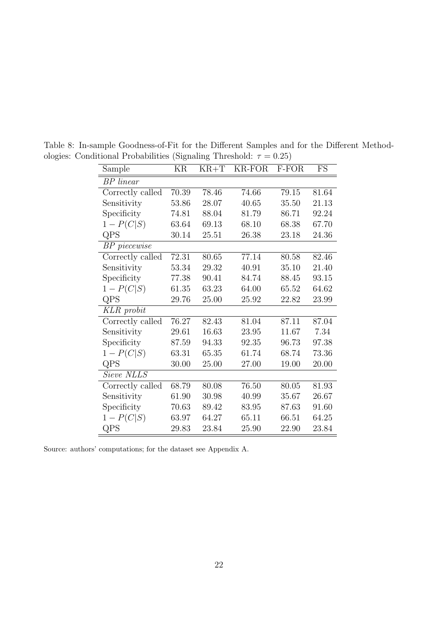Table 8: In-sample Goodness-of-Fit for the Different Samples and for the Different Methodologies: Conditional Probabilities (Signaling Threshold:  $\tau = 0.25$ )

Source: authors' computations; for the dataset see Appendix A.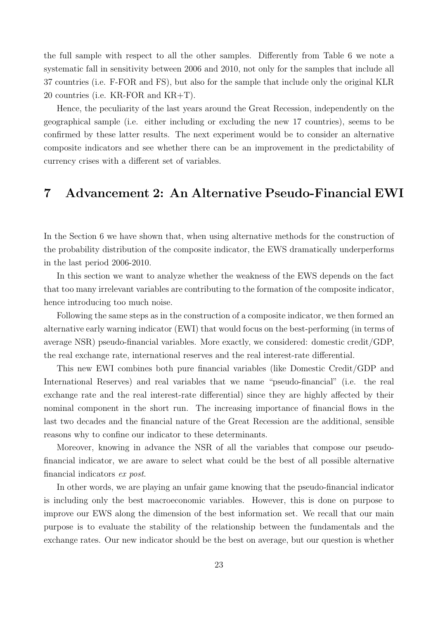the full sample with respect to all the other samples. Differently from Table 6 we note a systematic fall in sensitivity between 2006 and 2010, not only for the samples that include all 37 countries (i.e. F-FOR and FS), but also for the sample that include only the original KLR 20 countries (i.e. KR-FOR and KR+T).

Hence, the peculiarity of the last years around the Great Recession, independently on the geographical sample (i.e. either including or excluding the new 17 countries), seems to be confirmed by these latter results. The next experiment would be to consider an alternative composite indicators and see whether there can be an improvement in the predictability of currency crises with a different set of variables.

## 7 Advancement 2: An Alternative Pseudo-Financial EWI

In the Section 6 we have shown that, when using alternative methods for the construction of the probability distribution of the composite indicator, the EWS dramatically underperforms in the last period 2006-2010.

In this section we want to analyze whether the weakness of the EWS depends on the fact that too many irrelevant variables are contributing to the formation of the composite indicator, hence introducing too much noise.

Following the same steps as in the construction of a composite indicator, we then formed an alternative early warning indicator (EWI) that would focus on the best-performing (in terms of average NSR) pseudo-financial variables. More exactly, we considered: domestic credit/GDP, the real exchange rate, international reserves and the real interest-rate differential.

This new EWI combines both pure financial variables (like Domestic Credit/GDP and International Reserves) and real variables that we name "pseudo-financial" (i.e. the real exchange rate and the real interest-rate differential) since they are highly affected by their nominal component in the short run. The increasing importance of financial flows in the last two decades and the financial nature of the Great Recession are the additional, sensible reasons why to confine our indicator to these determinants.

Moreover, knowing in advance the NSR of all the variables that compose our pseudofinancial indicator, we are aware to select what could be the best of all possible alternative financial indicators ex post.

In other words, we are playing an unfair game knowing that the pseudo-financial indicator is including only the best macroeconomic variables. However, this is done on purpose to improve our EWS along the dimension of the best information set. We recall that our main purpose is to evaluate the stability of the relationship between the fundamentals and the exchange rates. Our new indicator should be the best on average, but our question is whether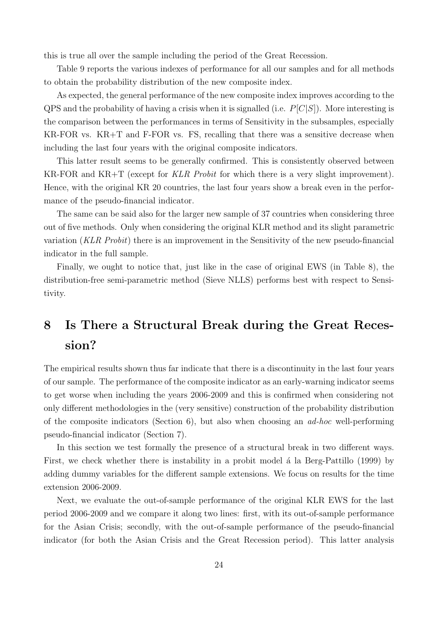this is true all over the sample including the period of the Great Recession.

Table 9 reports the various indexes of performance for all our samples and for all methods to obtain the probability distribution of the new composite index.

As expected, the general performance of the new composite index improves according to the  $QPS$  and the probability of having a crisis when it is signalled (i.e.  $P[C|S]$ ). More interesting is the comparison between the performances in terms of Sensitivity in the subsamples, especially KR-FOR vs. KR+T and F-FOR vs. FS, recalling that there was a sensitive decrease when including the last four years with the original composite indicators.

This latter result seems to be generally confirmed. This is consistently observed between KR-FOR and KR+T (except for KLR Probit for which there is a very slight improvement). Hence, with the original KR 20 countries, the last four years show a break even in the performance of the pseudo-financial indicator.

The same can be said also for the larger new sample of 37 countries when considering three out of five methods. Only when considering the original KLR method and its slight parametric variation (KLR Probit) there is an improvement in the Sensitivity of the new pseudo-financial indicator in the full sample.

Finally, we ought to notice that, just like in the case of original EWS (in Table 8), the distribution-free semi-parametric method (Sieve NLLS) performs best with respect to Sensitivity.

# 8 Is There a Structural Break during the Great Recession?

The empirical results shown thus far indicate that there is a discontinuity in the last four years of our sample. The performance of the composite indicator as an early-warning indicator seems to get worse when including the years 2006-2009 and this is confirmed when considering not only different methodologies in the (very sensitive) construction of the probability distribution of the composite indicators (Section 6), but also when choosing an  $ad-hoc$  well-performing pseudo-financial indicator (Section 7).

In this section we test formally the presence of a structural break in two different ways. First, we check whether there is instability in a probit model a la Berg-Pattillo (1999) by adding dummy variables for the different sample extensions. We focus on results for the time extension 2006-2009.

Next, we evaluate the out-of-sample performance of the original KLR EWS for the last period 2006-2009 and we compare it along two lines: first, with its out-of-sample performance for the Asian Crisis; secondly, with the out-of-sample performance of the pseudo-financial indicator (for both the Asian Crisis and the Great Recession period). This latter analysis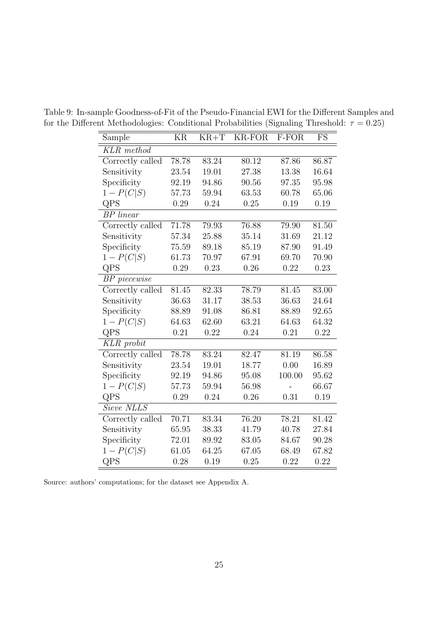| Sample                    | KR    | $KR+T$ | KR-FOR             | F-FOR  | <b>FS</b> |
|---------------------------|-------|--------|--------------------|--------|-----------|
| $\overline{KLR}$ method   |       |        |                    |        |           |
| Correctly called          | 78.78 | 83.24  | 80.12              | 87.86  | 86.87     |
| Sensitivity               | 23.54 | 19.01  | 27.38              | 13.38  | 16.64     |
| Specificity               | 92.19 | 94.86  | 90.56              | 97.35  | 95.98     |
| $1 - P(C S)$              | 57.73 | 59.94  | 63.53              | 60.78  | 65.06     |
| QPS                       | 0.29  | 0.24   | 0.25               | 0.19   | 0.19      |
| <b>BP</b> linear          |       |        |                    |        |           |
| Correctly called          | 71.78 | 79.93  | 76.88              | 79.90  | 81.50     |
| Sensitivity               | 57.34 | 25.88  | 35.14              | 31.69  | 21.12     |
| Specificity               | 75.59 | 89.18  | 85.19              | 87.90  | 91.49     |
| $1 - P(C S)$              | 61.73 | 70.97  | 67.91              | 69.70  | 70.90     |
| QPS                       | 0.29  | 0.23   | 0.26               | 0.22   | 0.23      |
| $\overline{BP}$ piecewise |       |        |                    |        |           |
| Correctly called          | 81.45 | 82.33  | 78.79              | 81.45  | 83.00     |
| Sensitivity               | 36.63 | 31.17  | 38.53              | 36.63  | 24.64     |
| Specificity               | 88.89 | 91.08  | 86.81              | 88.89  | 92.65     |
| $1 - P(C S)$              | 64.63 | 62.60  | 63.21              | 64.63  | 64.32     |
| QPS                       | 0.21  | 0.22   | 0.24               | 0.21   | 0.22      |
| $\overline{KLR}$ probit   |       |        |                    |        |           |
| Correctly called          | 78.78 | 83.24  | 82.47              | 81.19  | 86.58     |
| Sensitivity               | 23.54 | 19.01  | 18.77              | 0.00   | 16.89     |
| Specificity               | 92.19 | 94.86  | 95.08              | 100.00 | 95.62     |
| $1 - P(C S)$              | 57.73 | 59.94  | 56.98              |        | 66.67     |
| QPS                       | 0.29  | 0.24   | 0.26               | 0.31   | 0.19      |
| Sieve NLLS                |       |        |                    |        |           |
| Correctly called          | 70.71 | 83.34  | $\overline{76.20}$ | 78.21  | 81.42     |
| Sensitivity               | 65.95 | 38.33  | 41.79              | 40.78  | 27.84     |
| Specificity               | 72.01 | 89.92  | 83.05              | 84.67  | 90.28     |
| $1 - P(C S)$              | 61.05 | 64.25  | 67.05              | 68.49  | 67.82     |
| QPS                       | 0.28  | 0.19   | 0.25               | 0.22   | 0.22      |

Table 9: In-sample Goodness-of-Fit of the Pseudo-Financial EWI for the Different Samples and for the Different Methodologies: Conditional Probabilities (Signaling Threshold:  $\tau = 0.25$ )

Source: authors' computations; for the dataset see Appendix A.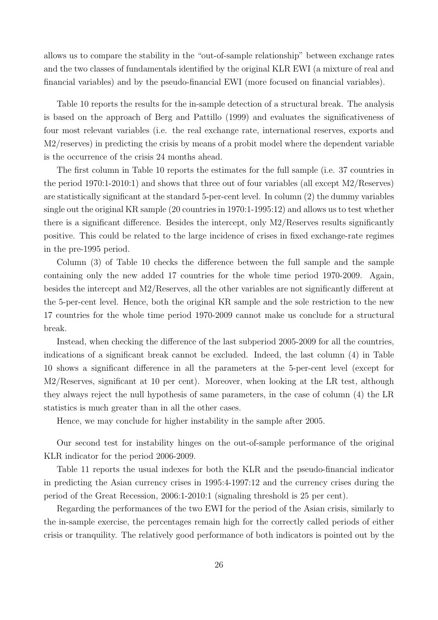allows us to compare the stability in the "out-of-sample relationship" between exchange rates and the two classes of fundamentals identified by the original KLR EWI (a mixture of real and financial variables) and by the pseudo-financial EWI (more focused on financial variables).

Table 10 reports the results for the in-sample detection of a structural break. The analysis is based on the approach of Berg and Pattillo (1999) and evaluates the significativeness of four most relevant variables (i.e. the real exchange rate, international reserves, exports and M2/reserves) in predicting the crisis by means of a probit model where the dependent variable is the occurrence of the crisis 24 months ahead.

The first column in Table 10 reports the estimates for the full sample (i.e. 37 countries in the period 1970:1-2010:1) and shows that three out of four variables (all except M2/Reserves) are statistically significant at the standard 5-per-cent level. In column (2) the dummy variables single out the original KR sample (20 countries in 1970:1-1995:12) and allows us to test whether there is a significant difference. Besides the intercept, only M2/Reserves results significantly positive. This could be related to the large incidence of crises in fixed exchange-rate regimes in the pre-1995 period.

Column (3) of Table 10 checks the difference between the full sample and the sample containing only the new added 17 countries for the whole time period 1970-2009. Again, besides the intercept and M2/Reserves, all the other variables are not significantly different at the 5-per-cent level. Hence, both the original KR sample and the sole restriction to the new 17 countries for the whole time period 1970-2009 cannot make us conclude for a structural break.

Instead, when checking the difference of the last subperiod 2005-2009 for all the countries, indications of a significant break cannot be excluded. Indeed, the last column (4) in Table 10 shows a significant difference in all the parameters at the 5-per-cent level (except for M2/Reserves, significant at 10 per cent). Moreover, when looking at the LR test, although they always reject the null hypothesis of same parameters, in the case of column (4) the LR statistics is much greater than in all the other cases.

Hence, we may conclude for higher instability in the sample after 2005.

Our second test for instability hinges on the out-of-sample performance of the original KLR indicator for the period 2006-2009.

Table 11 reports the usual indexes for both the KLR and the pseudo-financial indicator in predicting the Asian currency crises in 1995:4-1997:12 and the currency crises during the period of the Great Recession, 2006:1-2010:1 (signaling threshold is 25 per cent).

Regarding the performances of the two EWI for the period of the Asian crisis, similarly to the in-sample exercise, the percentages remain high for the correctly called periods of either crisis or tranquility. The relatively good performance of both indicators is pointed out by the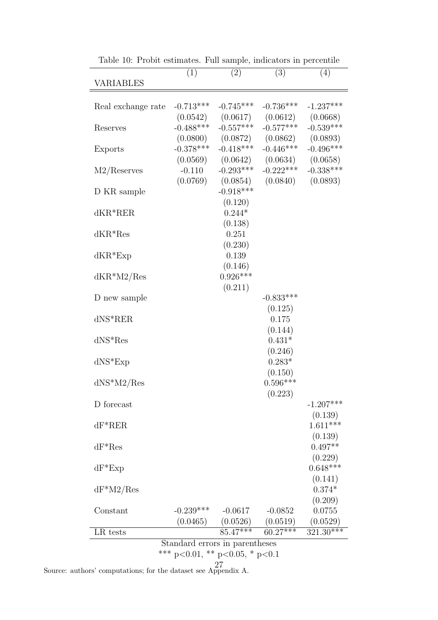| VARIABLES          | (1)                            | (2)                              | (3)                                  | (4)                     |  |  |  |  |  |  |
|--------------------|--------------------------------|----------------------------------|--------------------------------------|-------------------------|--|--|--|--|--|--|
| Real exchange rate | $-0.713***$                    | $-0.745***$                      | $-0.736***$                          | $-1.237***$             |  |  |  |  |  |  |
|                    | (0.0542)                       | $-0.557***$                      | $(0.0617)$ $(0.0612)$<br>$-0.577***$ | (0.0668)                |  |  |  |  |  |  |
| Reserves           | $-0.488***$                    | $(0.0800)$ $(0.0872)$ $(0.0862)$ |                                      | $-0.539***$<br>(0.0893) |  |  |  |  |  |  |
| Exports            | $-0.378***$                    | $-0.418***$                      | $-0.446***$                          | $-0.496***$             |  |  |  |  |  |  |
|                    | (0.0569)                       |                                  | $(0.0642)$ $(0.0634)$                | (0.0658)                |  |  |  |  |  |  |
| M2/Reserves        | $-0.110$<br>(0.0769)           | $-0.293***$                      | $-0.222***$<br>$(0.0854)$ $(0.0840)$ | $-0.338***$<br>(0.0893) |  |  |  |  |  |  |
| D KR sample        |                                | $-0.918***$                      |                                      |                         |  |  |  |  |  |  |
|                    |                                | (0.120)                          |                                      |                         |  |  |  |  |  |  |
| $dKR^*RER$         |                                | $0.244*$<br>(0.138)              |                                      |                         |  |  |  |  |  |  |
| $dKR*Res$          |                                | 0.251                            |                                      |                         |  |  |  |  |  |  |
|                    |                                | (0.230)                          |                                      |                         |  |  |  |  |  |  |
| $dKR*Exp$          |                                | 0.139                            |                                      |                         |  |  |  |  |  |  |
| $dKR^*M2/Res$      |                                | (0.146)<br>$0.926***$            |                                      |                         |  |  |  |  |  |  |
|                    |                                | (0.211)                          |                                      |                         |  |  |  |  |  |  |
| D new sample       |                                |                                  | $-0.833***$                          |                         |  |  |  |  |  |  |
| $d$ NS $k$ RER     |                                |                                  | (0.125)<br>0.175                     |                         |  |  |  |  |  |  |
|                    |                                |                                  | (0.144)                              |                         |  |  |  |  |  |  |
| $dNS*Res$          |                                |                                  | $0.431*$                             |                         |  |  |  |  |  |  |
|                    |                                |                                  | (0.246)<br>$0.283*$                  |                         |  |  |  |  |  |  |
| $dNS*Exp$          |                                |                                  | (0.150)                              |                         |  |  |  |  |  |  |
| $dNS*M2/Res$       |                                |                                  | $0.596***$                           |                         |  |  |  |  |  |  |
|                    |                                |                                  | (0.223)                              |                         |  |  |  |  |  |  |
| D forecast         |                                |                                  |                                      | $-1.207***$<br>(0.139)  |  |  |  |  |  |  |
| $dF^*RER$          |                                |                                  |                                      | $1.611***$              |  |  |  |  |  |  |
|                    |                                |                                  |                                      | (0.139)                 |  |  |  |  |  |  |
| $dF^*Res$          |                                |                                  |                                      | $0.497**$               |  |  |  |  |  |  |
| $dF^*Exp$          |                                |                                  |                                      | (0.229)<br>$0.648***$   |  |  |  |  |  |  |
|                    |                                |                                  |                                      | (0.141)                 |  |  |  |  |  |  |
| $dF^*M2/Res$       |                                |                                  |                                      | $0.374*$                |  |  |  |  |  |  |
| Constant           | $-0.239***$                    | $-0.0617$                        | $-0.0852$                            | (0.209)<br>0.0755       |  |  |  |  |  |  |
|                    | (0.0465)                       |                                  | $(0.0526)$ $(0.0519)$                | (0.0529)                |  |  |  |  |  |  |
| LR tests           |                                | $85.47***$                       | $60.27***$                           | $321.30***$             |  |  |  |  |  |  |
|                    | Standard errors in parentheses |                                  |                                      |                         |  |  |  |  |  |  |
|                    |                                | *** p<0.01, ** p<0.05, * p<0.1   |                                      |                         |  |  |  |  |  |  |

Table 10: Probit estimates. Full sample, indicators in percentile

Source: authors' computations; for the dataset see Appendix A. 27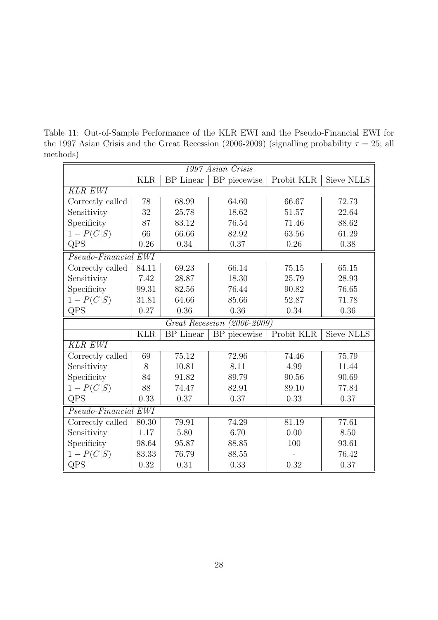Table 11: Out-of-Sample Performance of the KLR EWI and the Pseudo-Financial EWI for the 1997 Asian Crisis and the Great Recession (2006-2009) (signalling probability  $\tau = 25$ ; all methods)

| 1997 Asian Crisis    |            |                  |                             |            |                   |  |  |  |  |
|----------------------|------------|------------------|-----------------------------|------------|-------------------|--|--|--|--|
|                      | <b>KLR</b> | <b>BP</b> Linear | BP piecewise                | Probit KLR | Sieve NLLS        |  |  |  |  |
| <b>KLR EWI</b>       |            |                  |                             |            |                   |  |  |  |  |
| Correctly called     | 78         | 68.99            | 64.60                       | 66.67      | 72.73             |  |  |  |  |
| Sensitivity          | 32         | 25.78            | 18.62                       | 51.57      | 22.64             |  |  |  |  |
| Specificity          | 87         | 83.12            | 76.54                       | 71.46      | 88.62             |  |  |  |  |
| $1 - P(C S)$         | 66         | 66.66            | 82.92                       | 63.56      | 61.29             |  |  |  |  |
| QPS                  | 0.26       | 0.34             | 0.37                        | 0.26       | 0.38              |  |  |  |  |
| Pseudo-Financial EWI |            |                  |                             |            |                   |  |  |  |  |
| Correctly called     | 84.11      | 69.23            | 66.14                       | 75.15      | 65.15             |  |  |  |  |
| Sensitivity          | 7.42       | 28.87            | 18.30                       | 25.79      | 28.93             |  |  |  |  |
| Specificity          | 99.31      | 82.56            | 76.44                       | 90.82      | 76.65             |  |  |  |  |
| $1 - P(C S)$         | 31.81      | 64.66            | 85.66                       | 52.87      | 71.78             |  |  |  |  |
| QPS                  | 0.27       | 0.36             | 0.36                        | 0.34       | 0.36              |  |  |  |  |
|                      |            |                  | Great Recession (2006-2009) |            |                   |  |  |  |  |
|                      | <b>KLR</b> | <b>BP</b> Linear | BP piecewise                | Probit KLR | <b>Sieve NLLS</b> |  |  |  |  |
| <b>KLR EWI</b>       |            |                  |                             |            |                   |  |  |  |  |
| Correctly called     | 69         | 75.12            | 72.96                       | 74.46      | 75.79             |  |  |  |  |
| Sensitivity          | 8          | 10.81            | 8.11                        | 4.99       | 11.44             |  |  |  |  |
| Specificity          | 84         | 91.82            | 89.79                       | 90.56      | 90.69             |  |  |  |  |
| $1 - P(C S)$         | 88         | 74.47            | 82.91                       | 89.10      | 77.84             |  |  |  |  |
| QPS                  | 0.33       | 0.37             | 0.37                        | 0.33       | 0.37              |  |  |  |  |
| Pseudo-Financial EWI |            |                  |                             |            |                   |  |  |  |  |
| Correctly called     | 80.30      | 79.91            | 74.29                       | 81.19      | 77.61             |  |  |  |  |
| Sensitivity          | 1.17       | 5.80             | 6.70                        | 0.00       | 8.50              |  |  |  |  |
| Specificity          | 98.64      | 95.87            | 88.85                       | 100        | 93.61             |  |  |  |  |
| $1 - P(C S)$         | 83.33      | 76.79            | 88.55                       |            | 76.42             |  |  |  |  |
| QPS                  | 0.32       | 0.31             | 0.33                        | 0.32       | 0.37              |  |  |  |  |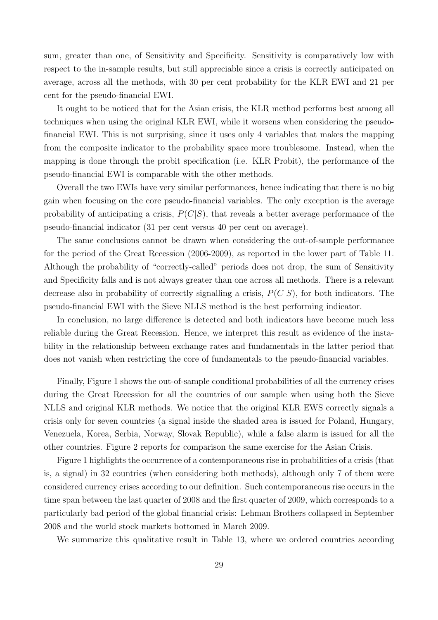sum, greater than one, of Sensitivity and Specificity. Sensitivity is comparatively low with respect to the in-sample results, but still appreciable since a crisis is correctly anticipated on average, across all the methods, with 30 per cent probability for the KLR EWI and 21 per cent for the pseudo-financial EWI.

It ought to be noticed that for the Asian crisis, the KLR method performs best among all techniques when using the original KLR EWI, while it worsens when considering the pseudofinancial EWI. This is not surprising, since it uses only 4 variables that makes the mapping from the composite indicator to the probability space more troublesome. Instead, when the mapping is done through the probit specification (i.e. KLR Probit), the performance of the pseudo-financial EWI is comparable with the other methods.

Overall the two EWIs have very similar performances, hence indicating that there is no big gain when focusing on the core pseudo-financial variables. The only exception is the average probability of anticipating a crisis,  $P(C|S)$ , that reveals a better average performance of the pseudo-financial indicator (31 per cent versus 40 per cent on average).

The same conclusions cannot be drawn when considering the out-of-sample performance for the period of the Great Recession (2006-2009), as reported in the lower part of Table 11. Although the probability of "correctly-called" periods does not drop, the sum of Sensitivity and Specificity falls and is not always greater than one across all methods. There is a relevant decrease also in probability of correctly signalling a crisis,  $P(C|S)$ , for both indicators. The pseudo-financial EWI with the Sieve NLLS method is the best performing indicator.

In conclusion, no large difference is detected and both indicators have become much less reliable during the Great Recession. Hence, we interpret this result as evidence of the instability in the relationship between exchange rates and fundamentals in the latter period that does not vanish when restricting the core of fundamentals to the pseudo-financial variables.

Finally, Figure 1 shows the out-of-sample conditional probabilities of all the currency crises during the Great Recession for all the countries of our sample when using both the Sieve NLLS and original KLR methods. We notice that the original KLR EWS correctly signals a crisis only for seven countries (a signal inside the shaded area is issued for Poland, Hungary, Venezuela, Korea, Serbia, Norway, Slovak Republic), while a false alarm is issued for all the other countries. Figure 2 reports for comparison the same exercise for the Asian Crisis.

Figure 1 highlights the occurrence of a contemporaneous rise in probabilities of a crisis (that is, a signal) in 32 countries (when considering both methods), although only 7 of them were considered currency crises according to our definition. Such contemporaneous rise occurs in the time span between the last quarter of 2008 and the first quarter of 2009, which corresponds to a particularly bad period of the global financial crisis: Lehman Brothers collapsed in September 2008 and the world stock markets bottomed in March 2009.

We summarize this qualitative result in Table 13, where we ordered countries according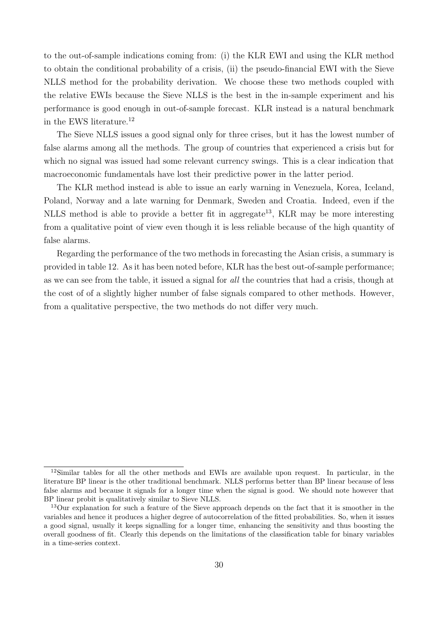to the out-of-sample indications coming from: (i) the KLR EWI and using the KLR method to obtain the conditional probability of a crisis, (ii) the pseudo-financial EWI with the Sieve NLLS method for the probability derivation. We choose these two methods coupled with the relative EWIs because the Sieve NLLS is the best in the in-sample experiment and his performance is good enough in out-of-sample forecast. KLR instead is a natural benchmark in the EWS literature. $12$ 

The Sieve NLLS issues a good signal only for three crises, but it has the lowest number of false alarms among all the methods. The group of countries that experienced a crisis but for which no signal was issued had some relevant currency swings. This is a clear indication that macroeconomic fundamentals have lost their predictive power in the latter period.

The KLR method instead is able to issue an early warning in Venezuela, Korea, Iceland, Poland, Norway and a late warning for Denmark, Sweden and Croatia. Indeed, even if the NLLS method is able to provide a better fit in aggregate<sup>13</sup>, KLR may be more interesting from a qualitative point of view even though it is less reliable because of the high quantity of false alarms.

Regarding the performance of the two methods in forecasting the Asian crisis, a summary is provided in table 12. As it has been noted before, KLR has the best out-of-sample performance; as we can see from the table, it issued a signal for all the countries that had a crisis, though at the cost of of a slightly higher number of false signals compared to other methods. However, from a qualitative perspective, the two methods do not differ very much.

<sup>12</sup>Similar tables for all the other methods and EWIs are available upon request. In particular, in the literature BP linear is the other traditional benchmark. NLLS performs better than BP linear because of less false alarms and because it signals for a longer time when the signal is good. We should note however that BP linear probit is qualitatively similar to Sieve NLLS.

<sup>&</sup>lt;sup>13</sup>Our explanation for such a feature of the Sieve approach depends on the fact that it is smoother in the variables and hence it produces a higher degree of autocorrelation of the fitted probabilities. So, when it issues a good signal, usually it keeps signalling for a longer time, enhancing the sensitivity and thus boosting the overall goodness of fit. Clearly this depends on the limitations of the classification table for binary variables in a time-series context.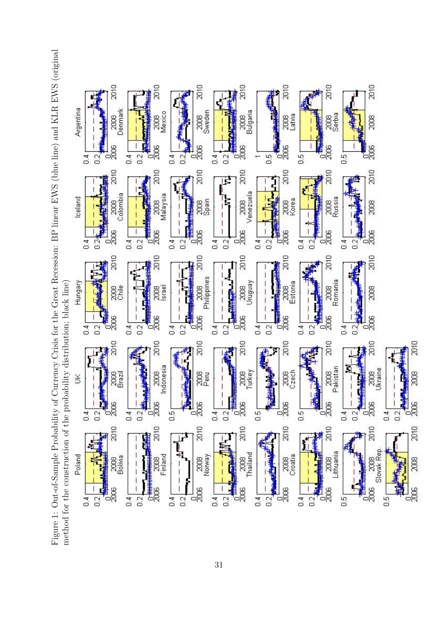Figure 1: Out-of-Sample Probability of Currency Crisis for the Great Recession: BP linear EWS (blue line) and KLR EWS (original Figure 1: Out-of-Sample Probability of Currency Crisis for the Great Recession: BP linear EWS (blue line) and KLR EWS (original method for the construction of the probability distribution; black line) method for the construction of the probability distribution; black line)

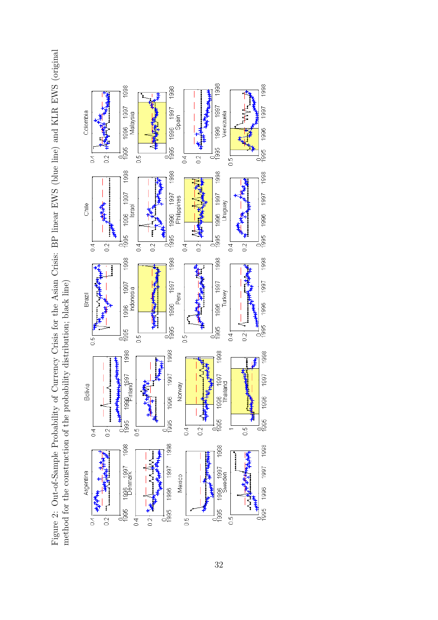Figure 2: Out-of-Sample Probability of Currency Crisis for the Asian Crisis: BP linear EWS (blue line) and KLR EWS (original Figure 2: Out-of-Sample Probability of Currency Crisis for the Asian Crisis: BP linear EWS (blue line) and KLR EWS (original method for the construction of the probability distribution; black line) method for the construction of the probability distribution; black line)

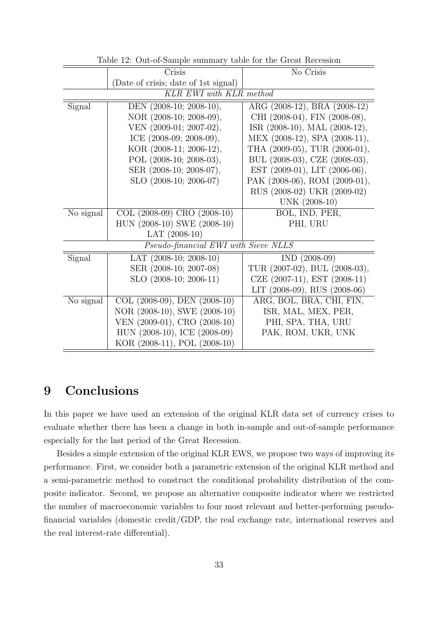|           | Crisis                               | No Crisis                     |  |
|-----------|--------------------------------------|-------------------------------|--|
|           | (Date of crisis; date of 1st signal) |                               |  |
|           | KLR EWI with KLR method              |                               |  |
| Signal    | DEN (2008-10; 2008-10),              | ARG (2008-12), BRA (2008-12)  |  |
|           | NOR (2008-10; 2008-09),              | CHI (2008-04), FIN (2008-08), |  |
|           | VEN (2009-01; 2007-02),              | ISR (2008-10), MAL (2008-12), |  |
|           | ICE (2008-09; 2008-09),              | MEX (2008-12), SPA (2008-11), |  |
|           | KOR (2008-11; 2006-12),              | THA (2009-05), TUR (2006-01), |  |
|           | POL (2008-10; 2008-03),              | BUL (2008-03), CZE (2008-03), |  |
|           | SER (2008-10; 2008-07),              | EST (2009-01), LIT (2006-06), |  |
|           | SLO (2008-10; 2006-07)               | PAK (2008-06), ROM (2009-01), |  |
|           |                                      | RUS (2008-02) UKR (2009-02)   |  |
|           |                                      | UNK (2008-10)                 |  |
| No signal | COL (2008-09) CRO (2008-10)          | BOL, IND, PER,                |  |
|           | HUN (2008-10) SWE (2008-10)          | PHI, URU                      |  |
|           | LAT $(2008-10)$                      |                               |  |
|           | Pseudo-financial EWI with Sieve NLLS |                               |  |
| Signal    | LAT $(2008-10; 2008-10)$             | $IND (2008-09)$               |  |
|           | SER (2008-10; 2007-08)               | TUR (2007-02), BUL (2008-03), |  |
|           | SLO (2008-10; 2006-11)               | CZE (2007-11), EST (2008-11)  |  |
|           |                                      | LIT (2008-09), RUS (2008-06)  |  |
| No signal | COL $(2008-09)$ , DEN $(2008-10)$    | ARG, BOL, BRA, CHI, FIN,      |  |
|           | NOR (2008-10), SWE (2008-10)         | ISR, MAL, MEX, PER,           |  |
|           | VEN (2009-01), CRO (2008-10)         | PHI, SPA, THA, URU            |  |
|           | HUN (2008-10), ICE (2008-09)         | PAK, ROM, UKR, UNK            |  |
|           | KOR (2008-11), POL (2008-10)         |                               |  |

Table 12: Out-of-Sample summary table for the Great Recession

## 9 Conclusions

In this paper we have used an extension of the original KLR data set of currency crises to evaluate whether there has been a change in both in-sample and out-of-sample performance especially for the last period of the Great Recession.

Besides a simple extension of the original KLR EWS, we propose two ways of improving its performance. First, we consider both a parametric extension of the original KLR method and a semi-parametric method to construct the conditional probability distribution of the composite indicator. Second, we propose an alternative composite indicator where we restricted the number of macroeconomic variables to four most relevant and better-performing pseudofinancial variables (domestic credit/GDP, the real exchange rate, international reserves and the real interest-rate differential).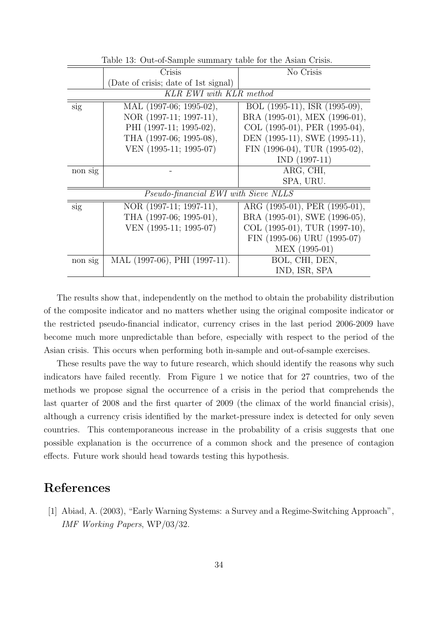|         | Crisis                               | No Crisis                     |
|---------|--------------------------------------|-------------------------------|
|         | (Date of crisis; date of 1st signal) |                               |
|         | KLR EWI with KLR method              |                               |
| sig     | MAL (1997-06; 1995-02),              | BOL (1995-11), ISR (1995-09), |
|         | NOR (1997-11; 1997-11),              | BRA (1995-01), MEX (1996-01), |
|         | PHI (1997-11; 1995-02),              | COL (1995-01), PER (1995-04), |
|         | THA (1997-06; 1995-08),              | DEN (1995-11), SWE (1995-11), |
|         | VEN (1995-11; 1995-07)               | FIN (1996-04), TUR (1995-02), |
|         |                                      | $IND (1997-11)$               |
| non sig |                                      | ARG, CHI,                     |
|         |                                      | SPA, URU.                     |
|         | Pseudo-financial EWI with Sieve NLLS |                               |
| sig     | NOR (1997-11; 1997-11),              | ARG (1995-01), PER (1995-01), |
|         | THA (1997-06; 1995-01),              | BRA (1995-01), SWE (1996-05), |
|         | VEN (1995-11; 1995-07)               | COL (1995-01), TUR (1997-10), |
|         |                                      | FIN (1995-06) URU (1995-07)   |
|         |                                      | MEX (1995-01)                 |
| non sig | MAL (1997-06), PHI (1997-11).        | BOL, CHI, DEN,                |
|         |                                      | IND, ISR, SPA                 |

Table 13: Out-of-Sample summary table for the Asian Crisis.

The results show that, independently on the method to obtain the probability distribution of the composite indicator and no matters whether using the original composite indicator or the restricted pseudo-financial indicator, currency crises in the last period 2006-2009 have become much more unpredictable than before, especially with respect to the period of the Asian crisis. This occurs when performing both in-sample and out-of-sample exercises.

These results pave the way to future research, which should identify the reasons why such indicators have failed recently. From Figure 1 we notice that for 27 countries, two of the methods we propose signal the occurrence of a crisis in the period that comprehends the last quarter of 2008 and the first quarter of 2009 (the climax of the world financial crisis), although a currency crisis identified by the market-pressure index is detected for only seven countries. This contemporaneous increase in the probability of a crisis suggests that one possible explanation is the occurrence of a common shock and the presence of contagion effects. Future work should head towards testing this hypothesis.

## References

[1] Abiad, A. (2003), "Early Warning Systems: a Survey and a Regime-Switching Approach", IMF Working Papers, WP/03/32.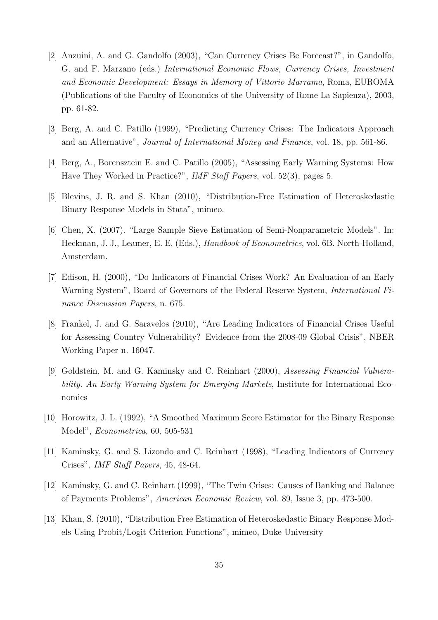- [2] Anzuini, A. and G. Gandolfo (2003), "Can Currency Crises Be Forecast?", in Gandolfo, G. and F. Marzano (eds.) International Economic Flows, Currency Crises, Investment and Economic Development: Essays in Memory of Vittorio Marrama, Roma, EUROMA (Publications of the Faculty of Economics of the University of Rome La Sapienza), 2003, pp. 61-82.
- [3] Berg, A. and C. Patillo (1999), "Predicting Currency Crises: The Indicators Approach and an Alternative", Journal of International Money and Finance, vol. 18, pp. 561-86.
- [4] Berg, A., Borensztein E. and C. Patillo (2005), "Assessing Early Warning Systems: How Have They Worked in Practice?", IMF Staff Papers, vol. 52(3), pages 5.
- [5] Blevins, J. R. and S. Khan (2010), "Distribution-Free Estimation of Heteroskedastic Binary Response Models in Stata", mimeo.
- [6] Chen, X. (2007). "Large Sample Sieve Estimation of Semi-Nonparametric Models". In: Heckman, J. J., Leamer, E. E. (Eds.), Handbook of Econometrics, vol. 6B. North-Holland, Amsterdam.
- [7] Edison, H. (2000), "Do Indicators of Financial Crises Work? An Evaluation of an Early Warning System", Board of Governors of the Federal Reserve System, International Finance Discussion Papers, n. 675.
- [8] Frankel, J. and G. Saravelos (2010), "Are Leading Indicators of Financial Crises Useful for Assessing Country Vulnerability? Evidence from the 2008-09 Global Crisis", NBER Working Paper n. 16047.
- [9] Goldstein, M. and G. Kaminsky and C. Reinhart (2000), Assessing Financial Vulnerability. An Early Warning System for Emerging Markets, Institute for International Economics
- [10] Horowitz, J. L. (1992), "A Smoothed Maximum Score Estimator for the Binary Response Model", Econometrica, 60, 505-531
- [11] Kaminsky, G. and S. Lizondo and C. Reinhart (1998), "Leading Indicators of Currency Crises", IMF Staff Papers, 45, 48-64.
- [12] Kaminsky, G. and C. Reinhart (1999), "The Twin Crises: Causes of Banking and Balance of Payments Problems", American Economic Review, vol. 89, Issue 3, pp. 473-500.
- [13] Khan, S. (2010), "Distribution Free Estimation of Heteroskedastic Binary Response Models Using Probit/Logit Criterion Functions", mimeo, Duke University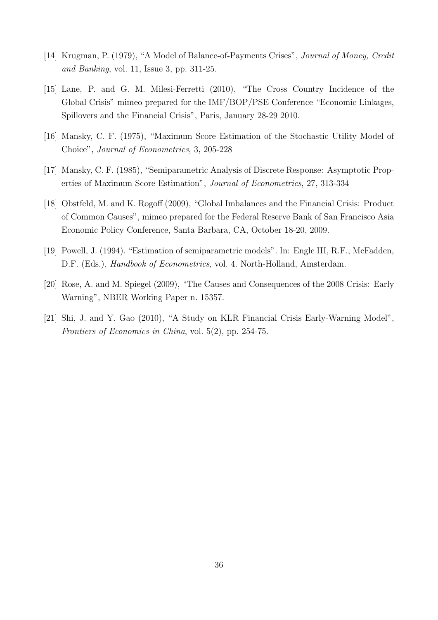- [14] Krugman, P. (1979), "A Model of Balance-of-Payments Crises", Journal of Money, Credit and Banking, vol. 11, Issue 3, pp. 311-25.
- [15] Lane, P. and G. M. Milesi-Ferretti (2010), "The Cross Country Incidence of the Global Crisis" mimeo prepared for the IMF/BOP/PSE Conference "Economic Linkages, Spillovers and the Financial Crisis", Paris, January 28-29 2010.
- [16] Mansky, C. F. (1975), "Maximum Score Estimation of the Stochastic Utility Model of Choice", Journal of Econometrics, 3, 205-228
- [17] Mansky, C. F. (1985), "Semiparametric Analysis of Discrete Response: Asymptotic Properties of Maximum Score Estimation", Journal of Econometrics, 27, 313-334
- [18] Obstfeld, M. and K. Rogoff (2009), "Global Imbalances and the Financial Crisis: Product of Common Causes", mimeo prepared for the Federal Reserve Bank of San Francisco Asia Economic Policy Conference, Santa Barbara, CA, October 18-20, 2009.
- [19] Powell, J. (1994). "Estimation of semiparametric models". In: Engle III, R.F., McFadden, D.F. (Eds.), *Handbook of Econometrics*, vol. 4. North-Holland, Amsterdam.
- [20] Rose, A. and M. Spiegel (2009), "The Causes and Consequences of the 2008 Crisis: Early Warning", NBER Working Paper n. 15357.
- [21] Shi, J. and Y. Gao (2010), "A Study on KLR Financial Crisis Early-Warning Model", Frontiers of Economics in China, vol. 5(2), pp. 254-75.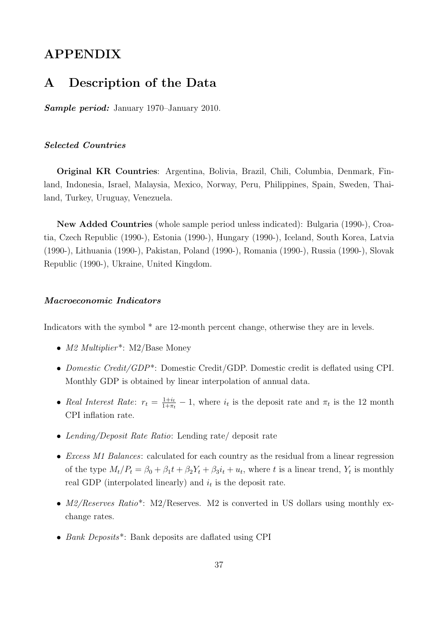## APPENDIX

### A Description of the Data

Sample period: January 1970–January 2010.

#### Selected Countries

Original KR Countries: Argentina, Bolivia, Brazil, Chili, Columbia, Denmark, Finland, Indonesia, Israel, Malaysia, Mexico, Norway, Peru, Philippines, Spain, Sweden, Thailand, Turkey, Uruguay, Venezuela.

New Added Countries (whole sample period unless indicated): Bulgaria (1990-), Croatia, Czech Republic (1990-), Estonia (1990-), Hungary (1990-), Iceland, South Korea, Latvia (1990-), Lithuania (1990-), Pakistan, Poland (1990-), Romania (1990-), Russia (1990-), Slovak Republic (1990-), Ukraine, United Kingdom.

#### Macroeconomic Indicators

Indicators with the symbol  $*$  are 12-month percent change, otherwise they are in levels.

- M2 Multiplier<sup>\*</sup>: M2/Base Money
- Domestic Credit/GDP\*: Domestic Credit/GDP. Domestic credit is deflated using CPI. Monthly GDP is obtained by linear interpolation of annual data.
- Real Interest Rate:  $r_t = \frac{1+i_t}{1+\pi}$  $\frac{1+i_t}{1+\pi_t} - 1$ , where  $i_t$  is the deposit rate and  $\pi_t$  is the 12 month CPI inflation rate.
- Lending/Deposit Rate Ratio: Lending rate/ deposit rate
- *Excess M1 Balances*: calculated for each country as the residual from a linear regression of the type  $M_t/P_t = \beta_0 + \beta_1 t + \beta_2 Y_t + \beta_3 i_t + u_t$ , where t is a linear trend,  $Y_t$  is monthly real GDP (interpolated linearly) and  $i_t$  is the deposit rate.
- $M2/Reserves Ratio^*$ : M2/Reserves. M2 is converted in US dollars using monthly exchange rates.
- Bank Deposits<sup>\*</sup>: Bank deposits are daflated using CPI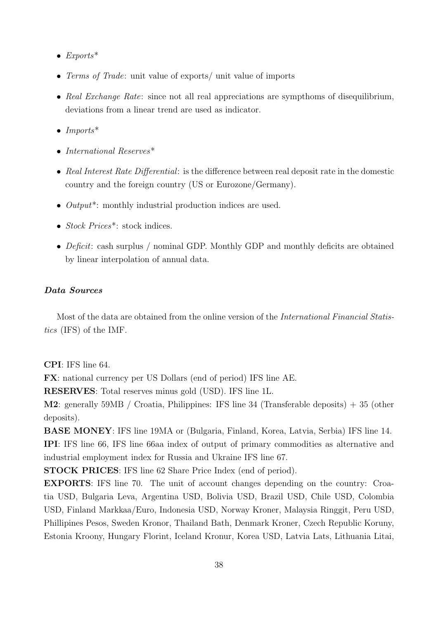- Exports\*
- Terms of Trade: unit value of exports/ unit value of imports
- Real Exchange Rate: since not all real appreciations are sympthoms of disequilibrium, deviations from a linear trend are used as indicator.
- Imports\*
- International Reserves\*
- Real Interest Rate Differential: is the difference between real deposit rate in the domestic country and the foreign country (US or Eurozone/Germany).
- *Output*<sup>\*</sup>: monthly industrial production indices are used.
- Stock Prices<sup>\*</sup>: stock indices.
- Deficit: cash surplus / nominal GDP. Monthly GDP and monthly deficits are obtained by linear interpolation of annual data.

#### Data Sources

Most of the data are obtained from the online version of the International Financial Statistics (IFS) of the IMF.

CPI: IFS line 64.

FX: national currency per US Dollars (end of period) IFS line AE.

RESERVES: Total reserves minus gold (USD). IFS line 1L.

M2: generally 59MB / Croatia, Philippines: IFS line 34 (Transferable deposits) + 35 (other deposits).

BASE MONEY: IFS line 19MA or (Bulgaria, Finland, Korea, Latvia, Serbia) IFS line 14. IPI: IFS line 66, IFS line 66aa index of output of primary commodities as alternative and industrial employment index for Russia and Ukraine IFS line 67.

STOCK PRICES: IFS line 62 Share Price Index (end of period).

EXPORTS: IFS line 70. The unit of account changes depending on the country: Croatia USD, Bulgaria Leva, Argentina USD, Bolivia USD, Brazil USD, Chile USD, Colombia USD, Finland Markkaa/Euro, Indonesia USD, Norway Kroner, Malaysia Ringgit, Peru USD, Phillipines Pesos, Sweden Kronor, Thailand Bath, Denmark Kroner, Czech Republic Koruny, Estonia Kroony, Hungary Florint, Iceland Kronur, Korea USD, Latvia Lats, Lithuania Litai,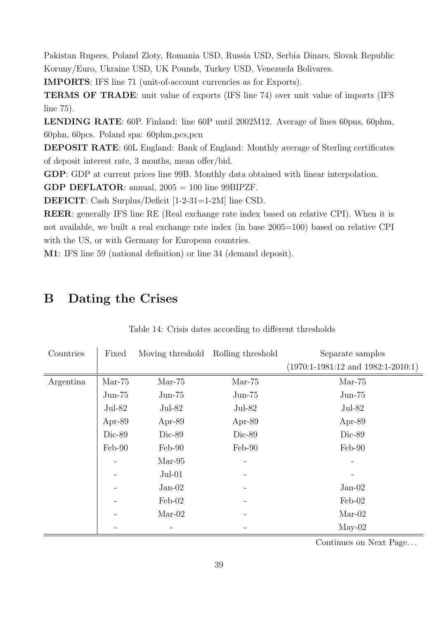Pakistan Rupees, Poland Zloty, Romania USD, Russia USD, Serbia Dinars, Slovak Republic Koruny/Euro, Ukraine USD, UK Pounds, Turkey USD, Venezuela Bolivares.

IMPORTS: IFS line 71 (unit-of-account currencies as for Exports).

TERMS OF TRADE: unit value of exports (IFS line 74) over unit value of imports (IFS line 75).

LENDING RATE: 60P. Finland: line 60P until 2002M12. Average of lines 60pns, 60phm, 60phn, 60pcs. Poland spa: 60phm,pcs,pcn

DEPOSIT RATE: 60L England: Bank of England: Monthly average of Sterling certificates of deposit interest rate, 3 months, mean offer/bid.

GDP: GDP at current prices line 99B. Monthly data obtained with linear interpolation.

**GDP DEFLATOR:** annual,  $2005 = 100$  line 99BIPZF.

DEFICIT: Cash Surplus/Deficit [1-2-31=1-2M] line CSD.

REER: generally IFS line RE (Real exchange rate index based on relative CPI). When it is not available, we built a real exchange rate index (in base 2005=100) based on relative CPI with the US, or with Germany for European countries.

M1: IFS line 59 (national definition) or line 34 (demand deposit).

## B Dating the Crises

| Countries | Fixed    | Moving threshold Rolling threshold |          | Separate samples                       |
|-----------|----------|------------------------------------|----------|----------------------------------------|
|           |          |                                    |          | $(1970:1-1981:12$ and $1982:1-2010:1)$ |
| Argentina | $Mar-75$ | $Mar-75$                           | $Mar-75$ | $Mar-75$                               |
|           | $Jun-75$ | $Jun-75$                           | $Jun-75$ | $Jun-75$                               |
|           | $Jul-82$ | $Jul-82$                           | $Jul-82$ | $Jul-82$                               |
|           | Apr-89   | Apr-89                             | Apr-89   | Apr-89                                 |
|           | Dic-89   | Dic-89                             | Dic-89   | Dic-89                                 |
|           | Feb-90   | Feb-90                             | Feb-90   | Feb-90                                 |
|           |          | $Mar-95$                           |          |                                        |
|           |          | $Jul-01$                           |          |                                        |
|           |          | $Jan-02$                           |          | $Jan-02$                               |
|           |          | $\text{Feb-02}$                    |          | $\text{Feb-02}$                        |
|           |          | $Mar-02$                           |          | $Mar-02$                               |
|           |          |                                    |          | $May-02$                               |

Table 14: Crisis dates according to different thresholds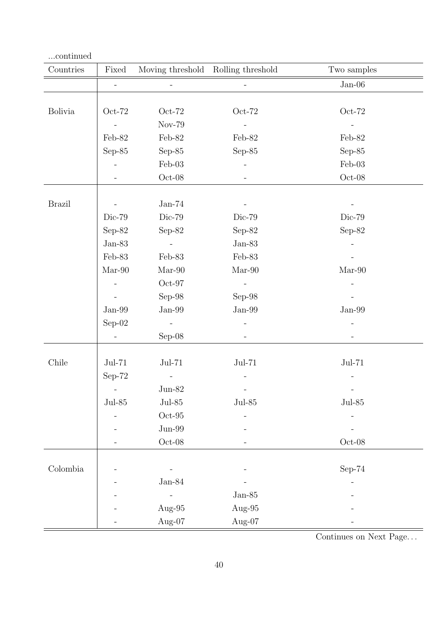| continued      |                          |                          |                                    |                          |
|----------------|--------------------------|--------------------------|------------------------------------|--------------------------|
| Countries      | Fixed                    |                          | Moving threshold Rolling threshold | Two samples              |
|                | $\equiv$                 | $\overline{\phantom{a}}$ |                                    | $Jan-06$                 |
|                |                          |                          |                                    |                          |
| <b>Bolivia</b> | $Oct-72$                 | $Oct-72$                 | $Oct-72$                           | $Oct-72$                 |
|                | $\sim$ $-$               | Nov-79                   | $\overline{\phantom{a}}$           |                          |
|                | Feb-82                   | Feb-82                   | Feb-82                             | Feb-82                   |
|                | $Sep-85$                 | Sep- $85$                | $Sep-85$                           | Sep- $85$                |
|                | $\overline{\phantom{a}}$ | $Feb-03$                 |                                    | $Feb-03$                 |
|                | $\equiv$                 | $Oct-08$                 | $\overline{\phantom{a}}$           | $Oct-08$                 |
|                |                          |                          |                                    |                          |
| <b>Brazil</b>  |                          | $Jan-74$                 |                                    |                          |
|                | Dic-79                   | Dic-79                   | Dic-79                             | Dic-79                   |
|                | Sep-82                   | Sep-82                   | $Sep-82$                           | Sep-82                   |
|                | ${\rm Jan}\text{-}83$    | $\sim 100$               | $Jan-83$                           |                          |
|                | Feb-83                   | Feb-83                   | Feb-83                             |                          |
|                | $Mar-90$                 | $Mar-90$                 | $Mar-90$                           | $Mar-90$                 |
|                | $\overline{\phantom{a}}$ | $Oct-97$                 | $\equiv$                           |                          |
|                |                          | $Sep-98$                 | $Sep-98$                           |                          |
|                | $Jan-99$                 | $Jan-99$                 | $Jan-99$                           | $Jan-99$                 |
|                | $Sep-02$                 | $\sim$ $-$               |                                    |                          |
|                | $\blacksquare$           | $Sep-08$                 | $\overline{\phantom{a}}$           | $\overline{\phantom{a}}$ |
|                |                          |                          |                                    |                          |
| Chile          | $Jul-71$                 | $Jul-71$                 | $Jul-71$                           | $Jul-71$                 |
|                | $Sep-72$                 | $\overline{\phantom{a}}$ | $\qquad \qquad -$                  | $\qquad \qquad -$        |
|                |                          | $\rm Jun\text{-}82$      |                                    |                          |
|                | $\rm{Jul}\text{-}85$     | $\rm{Jul}\text{-}85$     | $_{\rm{Jul-85}}$                   | $\rm{Jul}\text{-}85$     |
|                |                          | $Oct-95$                 |                                    |                          |
|                |                          | $Jun-99$                 |                                    |                          |
|                |                          | $\mathrm{Oct}\text{-}08$ |                                    | $\mathrm{Oct}\text{-}08$ |
|                |                          |                          |                                    |                          |
| Colombia       |                          |                          |                                    | $Sep-74$                 |
|                |                          | $Jan-84$                 |                                    |                          |
|                |                          |                          | $Jan-85$                           |                          |
|                |                          | Aug-95                   | Aug-95                             |                          |
|                |                          | Aug-07                   | Aug-07                             |                          |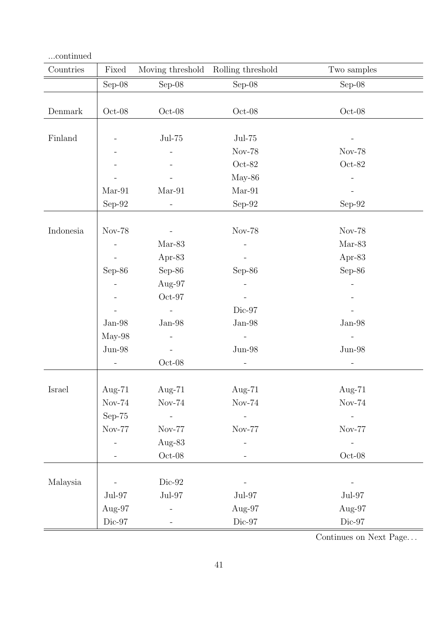| $\ldots$ continued |                          |                          |                          |                          |
|--------------------|--------------------------|--------------------------|--------------------------|--------------------------|
| Countries          | Fixed                    | Moving threshold         | Rolling threshold        | Two samples              |
|                    | $Sep-08$                 | $Sep-08$                 | $Sep-08$                 | $Sep-08$                 |
|                    |                          |                          |                          |                          |
| Denmark            | $Oct-08$                 | $Oct-08$                 | $\mathrm{Oct}\text{-}08$ | $\mathrm{Oct}\text{-}08$ |
|                    |                          |                          |                          |                          |
| Finland            |                          | $Jul-75$                 | $Jul-75$                 |                          |
|                    |                          |                          | Nov-78                   | <b>Nov-78</b>            |
|                    |                          |                          | $Oct-82$                 | $Oct-82$                 |
|                    |                          |                          | $May-86$                 |                          |
|                    | $Mar-91$                 | $Mar-91$                 | $Mar-91$                 |                          |
|                    | Sep-92 $\,$              | $\overline{\phantom{0}}$ | Sep-92                   | $Sep-92$                 |
|                    |                          |                          |                          |                          |
| Indonesia          | <b>Nov-78</b>            |                          | <b>Nov-78</b>            | <b>Nov-78</b>            |
|                    |                          | $Mar-83$                 |                          | $Mar-83$                 |
|                    |                          | Apr-83                   |                          | Apr-83                   |
|                    | Sep-86                   | $Sep-86$                 | $Sep-86$                 | $Sep-86$                 |
|                    |                          | Aug-97                   |                          |                          |
|                    |                          | $Oct-97$                 |                          |                          |
|                    |                          |                          | Dic-97                   |                          |
|                    | $Jan-98$                 | $Jan-98$                 | $Jan-98$                 | $Jan-98$                 |
|                    | May-98                   |                          |                          |                          |
|                    | $Jun-98$                 |                          | $\rm Jun\text{-}98$      | $Jun-98$                 |
|                    | $\overline{a}$           | $Oct-08$                 |                          | $\overline{a}$           |
|                    |                          |                          |                          |                          |
| Israel             | Aug- $71$                | Aug- $71$                | Aug- $71$                | Aug- $71$                |
|                    | $Nov-74$                 | $Nov-74$                 | $Nov-74$                 | $Nov-74$                 |
|                    | $Sep-75$                 | $\mathbb{L}$             |                          |                          |
|                    | $\mbox{Nov-}77$          | Nov-77                   | $Nov-77$                 | Nov-77                   |
|                    |                          | Aug-83                   |                          |                          |
|                    |                          | $Oct-08$                 |                          | $\mathrm{Oct}\text{-}08$ |
|                    |                          |                          |                          |                          |
| Malaysia           |                          | $Dic-92$                 |                          |                          |
|                    | $\rm{Jul}\text{-}97$     | $\rm{Jul}\text{-}97$     | $\rm{Jul}\textrm{-}97$   | $\rm{Jul-97}$            |
|                    | Aug-97                   |                          | Aug-97                   | Aug-97                   |
|                    | $\mathrm{Dic}\text{-}97$ |                          | $\mathrm{Dic}\text{-}97$ | $\mathrm{Dic}\text{-}97$ |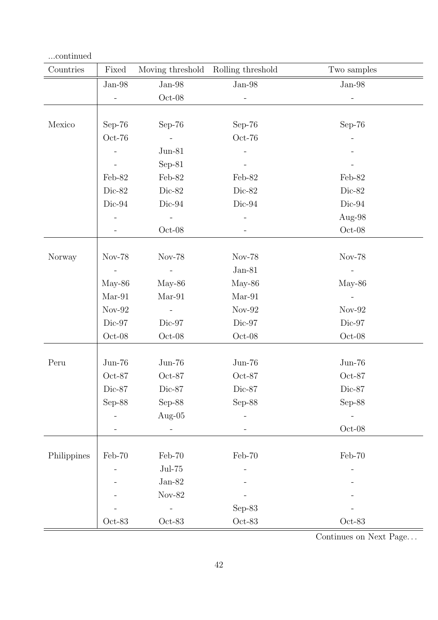| continued   |               |                          |                   |                     |
|-------------|---------------|--------------------------|-------------------|---------------------|
| Countries   | Fixed         | Moving threshold         | Rolling threshold | Two samples         |
|             | $Jan-98$      | $Jan-98$                 | $Jan-98$          | $Jan-98$            |
|             | $\Box$        | $\hbox{Oct-08}$          |                   |                     |
|             |               |                          |                   |                     |
| Mexico      | $Sep-76$      | $Sep-76$                 | $Sep-76$          | $Sep-76$            |
|             | $Oct-76$      |                          | $Oct-76$          |                     |
|             |               | $Jun-81$                 |                   |                     |
|             |               | $Sep-81$                 |                   |                     |
|             | Feb-82        | Feb-82                   | Feb-82            | Feb-82              |
|             | Dic-82        | Dic-82                   | Dic-82            | Dic-82              |
|             | Dic-94        | $Dic-94$                 | $Dic-94$          | Dic-94              |
|             |               |                          |                   | Aug-98              |
|             |               | $Oct-08$                 |                   | $Oct-08$            |
|             |               |                          |                   |                     |
| Norway      | <b>Nov-78</b> | Nov-78                   | <b>Nov-78</b>     | Nov-78              |
|             |               | $\equiv$                 | $Jan-81$          |                     |
|             | $May-86$      | $May-86$                 | May-86            | $May-86$            |
|             | $Mar-91$      | $Mar-91$                 | $Mar-91$          | $\overline{a}$      |
|             | $Nov-92$      | $\overline{\phantom{a}}$ | $Nov-92$          | $Nov-92$            |
|             | Dic-97        | Dic-97                   | Dic-97            | Dic-97              |
|             | $Oct-08$      | $Oct-08$                 | $Oct-08$          | $Oct-08$            |
|             |               |                          |                   |                     |
| Peru        | $Jun-76$      | $Jun-76$                 | $Jun-76$          | $Jun-76$            |
|             | Oct-87        | Oct-87                   | $Oct-87$          | $Oct-87$            |
|             | Dic-87        | $\mathrm{Dic}\text{-}87$ | $Dic-87$          | $Dic-87$            |
|             | $Sep-88$      | $Sep-88$                 | $Sep-88$          | $Sep-88$            |
|             |               | Aug- $05$                |                   |                     |
|             |               |                          |                   | $\rm Oct\text{-}08$ |
|             |               |                          |                   |                     |
| Philippines | Feb-70        | Feb-70                   | Feb-70            | $Feb-70$            |
|             |               | $\mathrm{Jul}\text{-}75$ |                   |                     |
|             |               | $Jan-82$                 |                   |                     |
|             |               | $Nov-82$                 |                   |                     |
|             |               |                          | $Sep-83$          |                     |
|             | $Oct-83$      | $Oct-83$                 | $Oct-83$          | $Oct-83$            |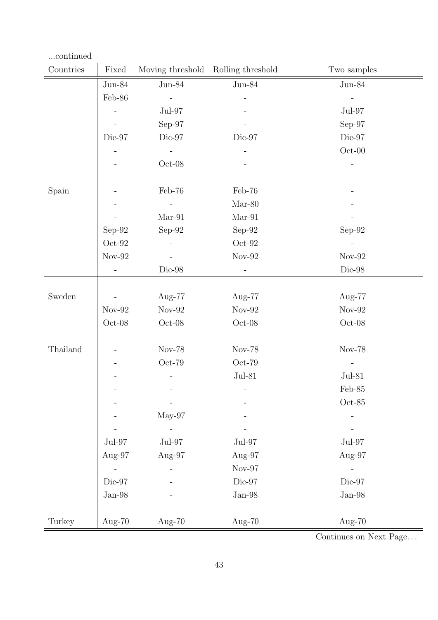| continued |                          |                              |                                    |                          |
|-----------|--------------------------|------------------------------|------------------------------------|--------------------------|
| Countries | Fixed                    |                              | Moving threshold Rolling threshold | Two samples              |
|           | $\mathrm{Jun}\text{-}84$ | $Jun-84$                     | $Jun-84$                           | $Jun-84$                 |
|           | $Feb-86$                 | $\equiv$                     |                                    | $\blacksquare$           |
|           | $\bar{\phantom{a}}$      | $Jul-97$                     |                                    | $Jul-97$                 |
|           |                          | $Sep-97$                     |                                    | $Sep-97$                 |
|           | Dic-97                   | Dic-97                       | Dic-97                             | Dic-97                   |
|           |                          | $\equiv$                     |                                    | $\mathrm{Oct}\text{-}00$ |
|           |                          | $Oct-08$                     |                                    |                          |
| Spain     |                          | Feb-76                       | Feb-76                             |                          |
|           |                          | $\equiv$                     | $Mar-80$                           |                          |
|           |                          | $Mar-91$                     | $Mar-91$                           |                          |
|           | $Sep-92$                 | $Sep-92$                     | $Sep-92$                           | $Sep-92$                 |
|           | $Oct-92$                 | $\overline{\phantom{a}}$     | $Oct-92$                           |                          |
|           | ${\rm Nov}\mbox{-} 92$   | $\qquad \qquad \blacksquare$ | $Nov-92$                           | $Nov-92$                 |
|           | $\overline{\phantom{a}}$ | Dic-98                       | $\blacksquare$                     | $\rm{Dic-98}$            |
|           |                          |                              |                                    |                          |
| Sweden    |                          | Aug-77                       | Aug-77                             | Aug-77                   |
|           | $Nov-92$                 | $Nov-92$                     | $Nov-92$                           | $Nov-92$                 |
|           | $\mathrm{Oct}\text{-}08$ | $Oct-08$                     | $Oct-08$                           | $Oct-08$                 |
| Thailand  |                          | Nov-78                       | Nov-78                             | <b>Nov-78</b>            |
|           |                          | $Oct-79$                     | $Oct-79$                           |                          |
|           |                          | $\overline{\phantom{a}}$     | $Jul-81$                           | $Jul-81$                 |
|           |                          |                              |                                    | $\mbox{Feb-85}$          |
|           |                          |                              |                                    | $Oct-85$                 |
|           |                          | $May-97$                     |                                    |                          |
|           |                          |                              |                                    |                          |
|           | $Jul-97$                 | $Jul-97$                     | $Jul-97$                           | $Jul-97$                 |
|           | Aug-97                   | Aug-97                       | Aug-97                             | Aug-97                   |
|           |                          |                              | $Nov-97$                           |                          |
|           | Dic-97                   |                              | Dic-97                             | Dic-97                   |
|           | ${\rm Jan}\text{-}98$    |                              | $Jan-98$                           | $Jan-98$                 |
|           |                          |                              |                                    |                          |
| Turkey    | Aug-70                   | Aug- $70$                    | Aug- $70$                          | Aug- $70$                |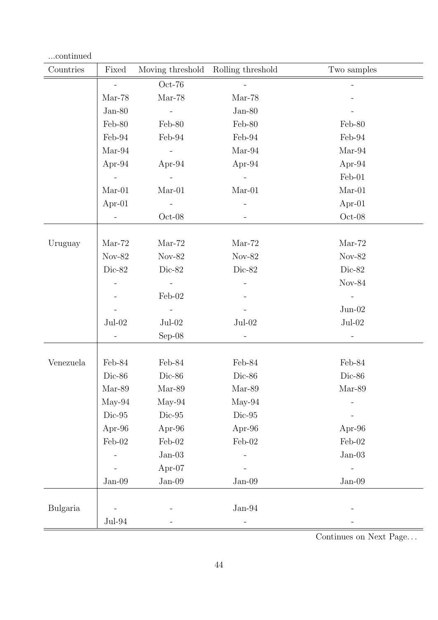| continued                     |                          |                          |                                    |                 |
|-------------------------------|--------------------------|--------------------------|------------------------------------|-----------------|
| $\label{1.1} {\rm Countries}$ | Fixed                    |                          | Moving threshold Rolling threshold | Two samples     |
|                               | $\blacksquare$           | $Oct-76$                 |                                    |                 |
|                               | $Mar-78$                 | $Mar-78$                 | $Mar-78$                           |                 |
|                               | $Jan-80$                 | $\sim 10$                | $Jan-80$                           |                 |
|                               | Feb-80                   | Feb-80                   | Feb-80                             | Feb-80          |
|                               | Feb-94                   | Feb-94                   | Feb-94                             | Feb-94          |
|                               | $Mar-94$                 | $\equiv$                 | $Mar-94$                           | $Mar-94$        |
|                               | Apr-94                   | Apr-94                   | Apr-94                             | Apr-94          |
|                               |                          | $\overline{\phantom{a}}$ |                                    | Feb-01          |
|                               | $Mar-01$                 | $Mar-01$                 | $Mar-01$                           | $Mar-01$        |
|                               | Apr- $01$                | $\blacksquare$           |                                    | Apr- $01$       |
|                               | $\overline{\phantom{a}}$ | $Oct-08$                 |                                    | $Oct-08$        |
|                               |                          |                          |                                    |                 |
| Uruguay                       | $Mar-72$                 | $Mar-72$                 | $Mar-72$                           | $Mar-72$        |
|                               | $Nov-82$                 | $Nov-82$                 | $Nov-82$                           | $Nov-82$        |
|                               | Dic-82                   | Dic-82                   | Dic-82                             | Dic-82          |
|                               |                          | $\blacksquare$           |                                    | $Nov-84$        |
|                               |                          | Feb-02                   |                                    |                 |
|                               |                          | $\equiv$                 |                                    | $Jun-02$        |
|                               | $Jul-02$                 | $Jul-02$                 | $Jul-02$                           | $Jul-02$        |
|                               | $\overline{\phantom{a}}$ | $Sep-08$                 | $\overline{\phantom{a}}$           | $\equiv$        |
|                               |                          |                          |                                    |                 |
| Venezuela                     | Feb-84                   | Feb-84                   | Feb-84                             | Feb-84          |
|                               | Dic-86                   | Dic-86                   | Dic-86                             | Dic-86          |
|                               | $Mar-89$                 | $Mar-89$                 | $Mar-89$                           | $\mbox{Mar-}89$ |
|                               | $May-94$                 | $May-94$                 | $May-94$                           |                 |
|                               | $Dic-95$                 | $\mathrm{Dic}\text{-}95$ | $\rm{Dic} \mbox{-} 95$             |                 |
|                               | Apr-96                   | Apr-96                   | Apr-96                             | Apr-96          |
|                               | $\mbox{Feb-02}$          | $\mbox{Feb-02}$          | $Feb-02$                           | $Feb-02$        |
|                               |                          | $Jan-03$                 |                                    | $Jan-03$        |
|                               |                          | Apr-07                   |                                    |                 |
|                               | $Jan-09$                 | $\rm Jan\text{-}09$      | $Jan-09$                           | $Jan-09$        |
|                               |                          |                          |                                    |                 |
| <b>Bulgaria</b>               |                          |                          | $Jan-94$                           |                 |
|                               | $Jul-94$                 |                          |                                    |                 |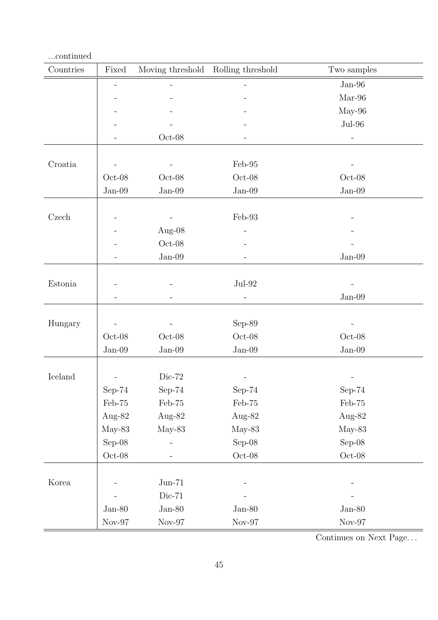| $\ldots$ continued |                     |                     |                     |                       |
|--------------------|---------------------|---------------------|---------------------|-----------------------|
| Countries          | Fixed               | Moving threshold    | Rolling threshold   | Two samples           |
|                    | $\equiv$            | $\equiv$            |                     | $Jan-96$              |
|                    |                     |                     |                     | $Mar-96$              |
|                    |                     |                     |                     | $May-96$              |
|                    |                     |                     |                     | $Jul-96$              |
|                    |                     | $Oct-08$            |                     | $\equiv$              |
|                    |                     |                     |                     |                       |
| Croatia            |                     | $\equiv$            | Feb-95              | -                     |
|                    | $Oct-08$            | $Oct-08$            | $Oct-08$            | $Oct-08$              |
|                    | $Jan-09$            | $\rm Jan\text{-}09$ | $Jan-09$            | $\rm Jan\text{-}09$   |
|                    |                     |                     |                     |                       |
| Czech              |                     | $\equiv$            | Feb-93              |                       |
|                    |                     | Aug- $08$           |                     |                       |
|                    |                     | $Oct-08$            |                     |                       |
|                    |                     | $Jan-09$            |                     | $Jan-09$              |
|                    |                     |                     |                     |                       |
| Estonia            |                     |                     | $Jul-92$            |                       |
|                    |                     |                     |                     | ${\rm Jan}\text{-}09$ |
|                    |                     |                     |                     |                       |
| Hungary            |                     | $\equiv$            | $Sep-89$            |                       |
|                    | $Oct-08$            | $Oct-08$            | $Oct-08$            | $Oct-08$              |
|                    | $\rm Jan\text{-}09$ | $Jan-09$            | $Jan-09$            | $Jan-09$              |
|                    |                     |                     |                     |                       |
| Iceland            |                     | $Dic-72$            |                     | -                     |
|                    | $Sep-74$            | $Sep-74$            | $Sep-74$            | $Sep-74$              |
|                    | Feb-75              | Feb-75              | Feb-75              | Feb-75                |
|                    | Aug-82              | Aug-82              | Aug-82              | Aug-82                |
|                    | $May-83$            | $May-83$            | $May-83$            | $May-83$              |
|                    | Sep-08              |                     | $Sep-08$            | $Sep-08$              |
|                    | $\hbox{Oct-08}$     |                     | $\rm Oct\text{-}08$ | $Oct-08$              |
|                    |                     |                     |                     |                       |
| Korea              |                     | $Jun-71$            |                     |                       |
|                    |                     | $Dic-71$            |                     |                       |
|                    | $Jan-80$            | $Jan-80$            | $Jan-80$            | $Jan-80$              |
|                    | $\rm Nov\text{-}97$ | $Nov-97$            | $\rm Nov\text{-}97$ | $\rm Nov\text{-}97$   |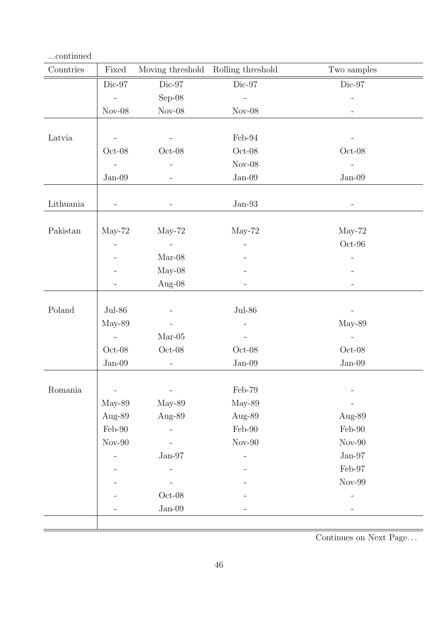| Countries | Fixed                    | Moving threshold Rolling threshold |                              | Two samples              |
|-----------|--------------------------|------------------------------------|------------------------------|--------------------------|
|           | $Dic-97$                 | Dic-97                             | $Dic-97$                     | $Dic-97$                 |
|           | $\equiv$                 | $Sep-08$                           |                              | $\overline{a}$           |
|           | $Nov-08$                 | $Nov-08$                           | $Nov-08$                     | $\overline{a}$           |
|           |                          |                                    |                              |                          |
| Latvia    |                          |                                    | Feb-94                       |                          |
|           | $Oct-08$                 | $Oct-08$                           | $Oct-08$                     | $Oct-08$                 |
|           |                          | $\overline{\phantom{a}}$           | $Nov-08$                     |                          |
|           | $Jan-09$                 | -                                  | $Jan-09$                     | $Jan-09$                 |
| Lithuania | $\overline{\phantom{a}}$ | $\overline{\phantom{a}}$           | $Jan-93$                     | $\overline{\phantom{a}}$ |
|           |                          |                                    |                              |                          |
| Pakistan  | $May-72$                 | $May-72$                           | $May-72$                     | $May-72$                 |
|           |                          | $\sim$                             |                              | $Oct-96$                 |
|           |                          | $Mar-08$                           |                              |                          |
|           |                          | $May-08$                           |                              |                          |
|           | $\qquad \qquad -$        | Aug-08                             |                              | $\qquad \qquad -$        |
|           |                          |                                    |                              |                          |
| Poland    | $Jul-86$                 | $\blacksquare$                     | $Jul-86$                     |                          |
|           | $May-89$                 | $\blacksquare$                     |                              | May-89                   |
|           | $\sim$ $-$               | $Mar-05$                           |                              | $\overline{\phantom{a}}$ |
|           | $Oct-08$                 | $Oct-08$                           | $Oct-08$                     | $Oct-08$                 |
|           | $Jan-09$                 | $\equiv$                           | $Jan-09$                     | $Jan-09$                 |
|           |                          |                                    |                              |                          |
| Romania   |                          | $\overline{\phantom{a}}$           | $\mbox{Feb-79}$              |                          |
|           | May-89                   | $May-89$                           | May-89                       |                          |
|           | Aug-89                   | Aug-89                             | Aug-89                       | Aug-89                   |
|           | $\mbox{Feb-90}$          |                                    | $\rm \mathit{Feb}\text{-}90$ | $\mbox{Feb-90}$          |
|           | $\mbox{Nov-}90$          |                                    | $Nov-90$                     | $\mbox{Nov-}90$          |
|           |                          | $Jan-97$                           |                              | ${\rm Jan}\text{-}97$    |
|           |                          |                                    |                              | $\mbox{Feb-97}$          |
|           |                          |                                    |                              | $\mbox{Nov-99}$          |
|           |                          | $\mathrm{Oct}\text{-}08$           |                              |                          |
|           |                          | $Jan-09$                           |                              | $\qquad \qquad -$        |